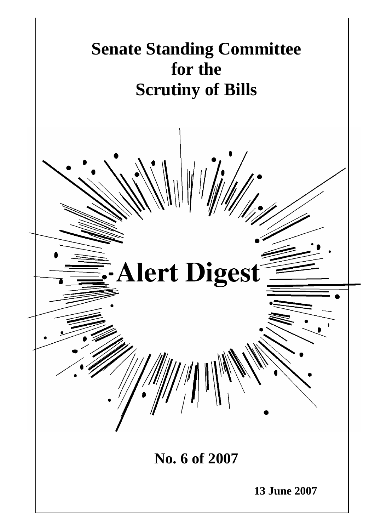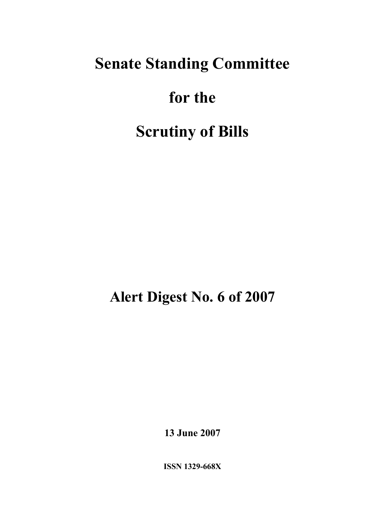# **Senate Standing Committee**

# **for the**

# **Scrutiny of Bills**

**Alert Digest No. 6 of 2007** 

**13 June 2007** 

**ISSN 1329-668X**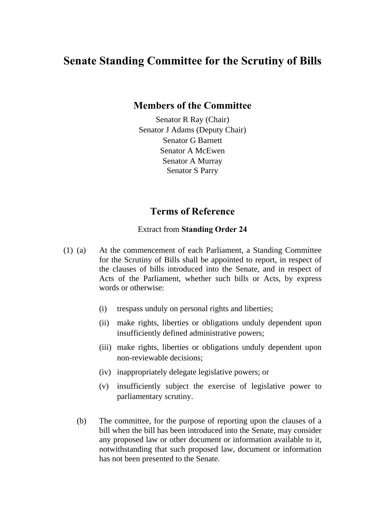### **Senate Standing Committee for the Scrutiny of Bills**

#### **Members of the Committee**

Senator R Ray (Chair) Senator J Adams (Deputy Chair) Senator G Barnett Senator A McEwen Senator A Murray Senator S Parry

#### **Terms of Reference**

#### Extract from **Standing Order 24**

- (1) (a) At the commencement of each Parliament, a Standing Committee for the Scrutiny of Bills shall be appointed to report, in respect of the clauses of bills introduced into the Senate, and in respect of Acts of the Parliament, whether such bills or Acts, by express words or otherwise:
	- (i) trespass unduly on personal rights and liberties;
	- (ii) make rights, liberties or obligations unduly dependent upon insufficiently defined administrative powers;
	- (iii) make rights, liberties or obligations unduly dependent upon non-reviewable decisions;
	- (iv) inappropriately delegate legislative powers; or
	- (v) insufficiently subject the exercise of legislative power to parliamentary scrutiny.
	- (b) The committee, for the purpose of reporting upon the clauses of a bill when the bill has been introduced into the Senate, may consider any proposed law or other document or information available to it, notwithstanding that such proposed law, document or information has not been presented to the Senate.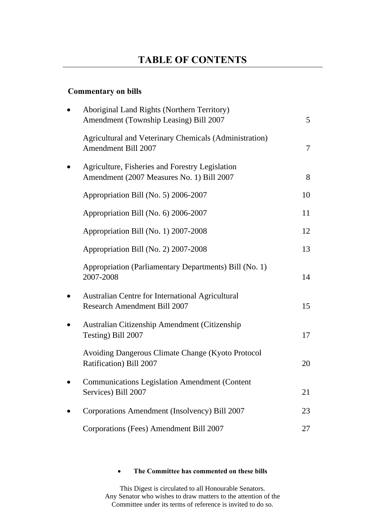#### **Commentary on bills**

| Aboriginal Land Rights (Northern Territory)<br>Amendment (Township Leasing) Bill 2007        | $5\overline{)}$ |
|----------------------------------------------------------------------------------------------|-----------------|
| <b>Agricultural and Veterinary Chemicals (Administration)</b><br>Amendment Bill 2007         | $\overline{7}$  |
| Agriculture, Fisheries and Forestry Legislation<br>Amendment (2007 Measures No. 1) Bill 2007 | 8               |
| Appropriation Bill (No. 5) 2006-2007                                                         | 10              |
| Appropriation Bill (No. 6) 2006-2007                                                         | 11              |
| Appropriation Bill (No. 1) 2007-2008                                                         | 12              |
| Appropriation Bill (No. 2) 2007-2008                                                         | 13              |
| Appropriation (Parliamentary Departments) Bill (No. 1)<br>2007-2008                          | 14              |
| Australian Centre for International Agricultural<br>Research Amendment Bill 2007             | 15              |
| Australian Citizenship Amendment (Citizenship<br>Testing) Bill 2007                          | 17              |
| Avoiding Dangerous Climate Change (Kyoto Protocol<br>Ratification) Bill 2007                 | 20              |
| <b>Communications Legislation Amendment (Content</b> )<br>Services) Bill 2007                | 21              |
| Corporations Amendment (Insolvency) Bill 2007                                                | 23              |
| Corporations (Fees) Amendment Bill 2007                                                      | 27              |

#### • **The Committee has commented on these bills**

This Digest is circulated to all Honourable Senators. Any Senator who wishes to draw matters to the attention of the Committee under its terms of reference is invited to do so.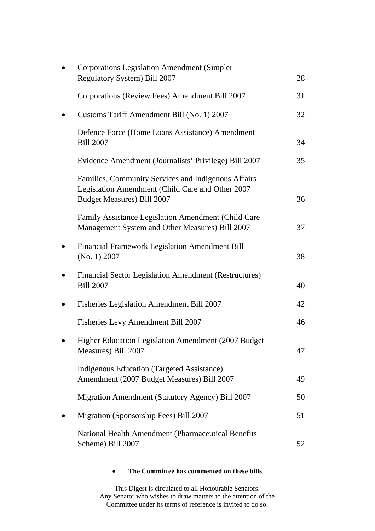| <b>Corporations Legislation Amendment (Simpler</b>                                                                                           |    |
|----------------------------------------------------------------------------------------------------------------------------------------------|----|
| Regulatory System) Bill 2007                                                                                                                 | 28 |
| Corporations (Review Fees) Amendment Bill 2007                                                                                               | 31 |
| Customs Tariff Amendment Bill (No. 1) 2007                                                                                                   | 32 |
| Defence Force (Home Loans Assistance) Amendment<br><b>Bill 2007</b>                                                                          | 34 |
| Evidence Amendment (Journalists' Privilege) Bill 2007                                                                                        | 35 |
| Families, Community Services and Indigenous Affairs<br>Legislation Amendment (Child Care and Other 2007<br><b>Budget Measures) Bill 2007</b> | 36 |
| Family Assistance Legislation Amendment (Child Care<br>Management System and Other Measures) Bill 2007                                       | 37 |
| Financial Framework Legislation Amendment Bill<br>(No. 1) 2007                                                                               | 38 |
| <b>Financial Sector Legislation Amendment (Restructures)</b><br><b>Bill 2007</b>                                                             | 40 |
| Fisheries Legislation Amendment Bill 2007                                                                                                    | 42 |
| Fisheries Levy Amendment Bill 2007                                                                                                           | 46 |
| Higher Education Legislation Amendment (2007 Budget<br>Measures) Bill 2007                                                                   | 47 |
| <b>Indigenous Education (Targeted Assistance)</b><br>Amendment (2007 Budget Measures) Bill 2007                                              | 49 |
| Migration Amendment (Statutory Agency) Bill 2007                                                                                             | 50 |
| Migration (Sponsorship Fees) Bill 2007                                                                                                       | 51 |
| National Health Amendment (Pharmaceutical Benefits<br>Scheme) Bill 2007                                                                      | 52 |

#### • **The Committee has commented on these bills**

This Digest is circulated to all Honourable Senators. Any Senator who wishes to draw matters to the attention of the Committee under its terms of reference is invited to do so.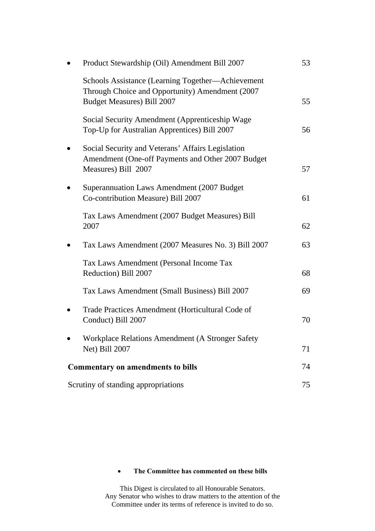|                                          | Product Stewardship (Oil) Amendment Bill 2007                                                                                             | 53 |
|------------------------------------------|-------------------------------------------------------------------------------------------------------------------------------------------|----|
|                                          | Schools Assistance (Learning Together-Achievement<br>Through Choice and Opportunity) Amendment (2007<br><b>Budget Measures) Bill 2007</b> | 55 |
|                                          | Social Security Amendment (Apprenticeship Wage<br>Top-Up for Australian Apprentices) Bill 2007                                            | 56 |
|                                          | Social Security and Veterans' Affairs Legislation<br>Amendment (One-off Payments and Other 2007 Budget<br>Measures) Bill 2007             | 57 |
|                                          | Superannuation Laws Amendment (2007 Budget)<br>Co-contribution Measure) Bill 2007                                                         | 61 |
|                                          | Tax Laws Amendment (2007 Budget Measures) Bill<br>2007                                                                                    | 62 |
|                                          | Tax Laws Amendment (2007 Measures No. 3) Bill 2007                                                                                        | 63 |
|                                          | Tax Laws Amendment (Personal Income Tax<br>Reduction) Bill 2007                                                                           | 68 |
|                                          | Tax Laws Amendment (Small Business) Bill 2007                                                                                             | 69 |
|                                          | Trade Practices Amendment (Horticultural Code of<br>Conduct) Bill 2007                                                                    | 70 |
|                                          | Workplace Relations Amendment (A Stronger Safety<br>Net) Bill 2007                                                                        | 71 |
| <b>Commentary on amendments to bills</b> |                                                                                                                                           | 74 |
| Scrutiny of standing appropriations      |                                                                                                                                           | 75 |

#### • **The Committee has commented on these bills**

This Digest is circulated to all Honourable Senators. Any Senator who wishes to draw matters to the attention of the Committee under its terms of reference is invited to do so.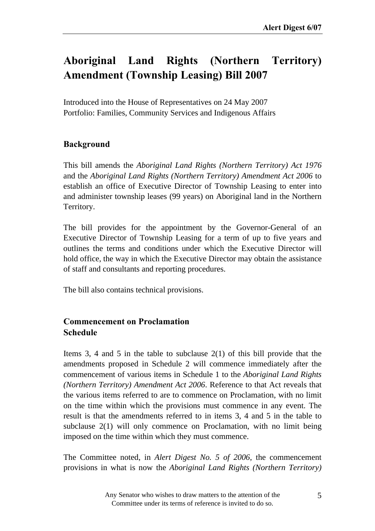# **Aboriginal Land Rights (Northern Territory) Amendment (Township Leasing) Bill 2007**

Introduced into the House of Representatives on 24 May 2007 Portfolio: Families, Community Services and Indigenous Affairs

#### **Background**

This bill amends the *Aboriginal Land Rights (Northern Territory) Act 1976* and the *Aboriginal Land Rights (Northern Territory) Amendment Act 2006* to establish an office of Executive Director of Township Leasing to enter into and administer township leases (99 years) on Aboriginal land in the Northern Territory.

The bill provides for the appointment by the Governor-General of an Executive Director of Township Leasing for a term of up to five years and outlines the terms and conditions under which the Executive Director will hold office, the way in which the Executive Director may obtain the assistance of staff and consultants and reporting procedures.

The bill also contains technical provisions.

#### **Commencement on Proclamation Schedule**

Items 3, 4 and 5 in the table to subclause 2(1) of this bill provide that the amendments proposed in Schedule 2 will commence immediately after the commencement of various items in Schedule 1 to the *Aboriginal Land Rights (Northern Territory) Amendment Act 2006*. Reference to that Act reveals that the various items referred to are to commence on Proclamation, with no limit on the time within which the provisions must commence in any event. The result is that the amendments referred to in items 3, 4 and 5 in the table to subclause 2(1) will only commence on Proclamation, with no limit being imposed on the time within which they must commence.

The Committee noted, in *Alert Digest No. 5 of 2006*, the commencement provisions in what is now the *Aboriginal Land Rights (Northern Territory)*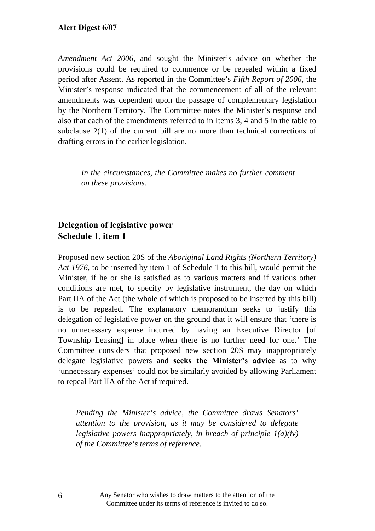*Amendment Act 2006*, and sought the Minister's advice on whether the provisions could be required to commence or be repealed within a fixed period after Assent. As reported in the Committee's *Fifth Report of 2006*, the Minister's response indicated that the commencement of all of the relevant amendments was dependent upon the passage of complementary legislation by the Northern Territory. The Committee notes the Minister's response and also that each of the amendments referred to in Items 3, 4 and 5 in the table to subclause 2(1) of the current bill are no more than technical corrections of drafting errors in the earlier legislation.

*In the circumstances, the Committee makes no further comment on these provisions.* 

#### **Delegation of legislative power Schedule 1, item 1**

Proposed new section 20S of the *Aboriginal Land Rights (Northern Territory) Act 1976*, to be inserted by item 1 of Schedule 1 to this bill, would permit the Minister, if he or she is satisfied as to various matters and if various other conditions are met, to specify by legislative instrument, the day on which Part IIA of the Act (the whole of which is proposed to be inserted by this bill) is to be repealed. The explanatory memorandum seeks to justify this delegation of legislative power on the ground that it will ensure that 'there is no unnecessary expense incurred by having an Executive Director [of Township Leasing] in place when there is no further need for one.' The Committee considers that proposed new section 20S may inappropriately delegate legislative powers and **seeks the Minister's advice** as to why 'unnecessary expenses' could not be similarly avoided by allowing Parliament to repeal Part IIA of the Act if required.

*Pending the Minister's advice, the Committee draws Senators' attention to the provision, as it may be considered to delegate legislative powers inappropriately, in breach of principle 1(a)(iv) of the Committee's terms of reference.*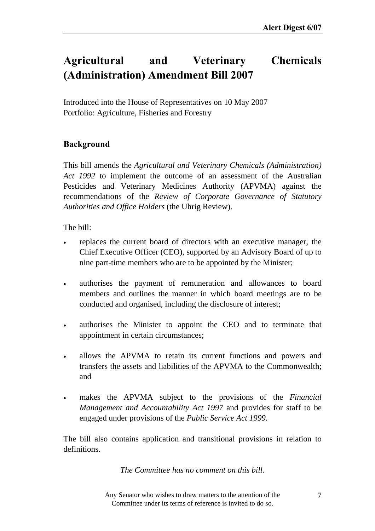## **Agricultural and Veterinary Chemicals (Administration) Amendment Bill 2007**

Introduced into the House of Representatives on 10 May 2007 Portfolio: Agriculture, Fisheries and Forestry

#### **Background**

This bill amends the *Agricultural and Veterinary Chemicals (Administration) Act 1992* to implement the outcome of an assessment of the Australian Pesticides and Veterinary Medicines Authority (APVMA) against the recommendations of the *Review of Corporate Governance of Statutory Authorities and Office Holders* (the Uhrig Review).

The bill:

- replaces the current board of directors with an executive manager, the Chief Executive Officer (CEO), supported by an Advisory Board of up to nine part-time members who are to be appointed by the Minister;
- authorises the payment of remuneration and allowances to board members and outlines the manner in which board meetings are to be conducted and organised, including the disclosure of interest;
- authorises the Minister to appoint the CEO and to terminate that appointment in certain circumstances;
- allows the APVMA to retain its current functions and powers and transfers the assets and liabilities of the APVMA to the Commonwealth; and
- makes the APVMA subject to the provisions of the *Financial Management and Accountability Act 1997* and provides for staff to be engaged under provisions of the *Public Service Act 1999.*

The bill also contains application and transitional provisions in relation to definitions.

*The Committee has no comment on this bill.* 

Any Senator who wishes to draw matters to the attention of the Committee under its terms of reference is invited to do so.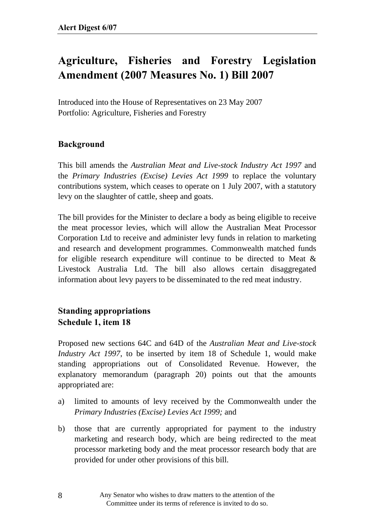## **Agriculture, Fisheries and Forestry Legislation Amendment (2007 Measures No. 1) Bill 2007**

Introduced into the House of Representatives on 23 May 2007 Portfolio: Agriculture, Fisheries and Forestry

#### **Background**

This bill amends the *Australian Meat and Live-stock Industry Act 1997* and the *Primary Industries (Excise) Levies Act 1999* to replace the voluntary contributions system, which ceases to operate on 1 July 2007, with a statutory levy on the slaughter of cattle, sheep and goats.

The bill provides for the Minister to declare a body as being eligible to receive the meat processor levies, which will allow the Australian Meat Processor Corporation Ltd to receive and administer levy funds in relation to marketing and research and development programmes. Commonwealth matched funds for eligible research expenditure will continue to be directed to Meat  $\&$ Livestock Australia Ltd. The bill also allows certain disaggregated information about levy payers to be disseminated to the red meat industry.

### **Standing appropriations Schedule 1, item 18**

Proposed new sections 64C and 64D of the *Australian Meat and Live-stock Industry Act 1997*, to be inserted by item 18 of Schedule 1, would make standing appropriations out of Consolidated Revenue. However, the explanatory memorandum (paragraph 20) points out that the amounts appropriated are:

- a) limited to amounts of levy received by the Commonwealth under the *Primary Industries (Excise) Levies Act 1999;* and
- b) those that are currently appropriated for payment to the industry marketing and research body, which are being redirected to the meat processor marketing body and the meat processor research body that are provided for under other provisions of this bill.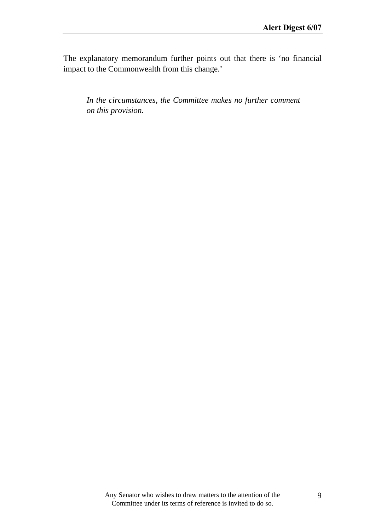The explanatory memorandum further points out that there is 'no financial impact to the Commonwealth from this change.'

*In the circumstances, the Committee makes no further comment on this provision.*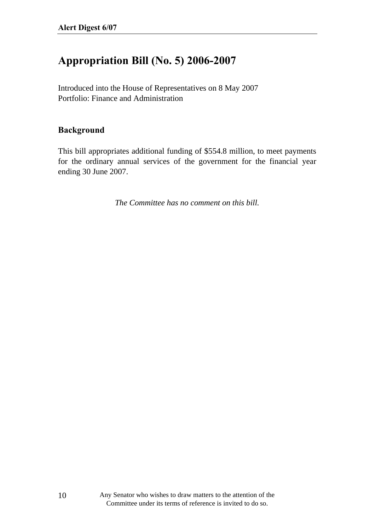### **Appropriation Bill (No. 5) 2006-2007**

Introduced into the House of Representatives on 8 May 2007 Portfolio: Finance and Administration

#### **Background**

This bill appropriates additional funding of \$554.8 million, to meet payments for the ordinary annual services of the government for the financial year ending 30 June 2007.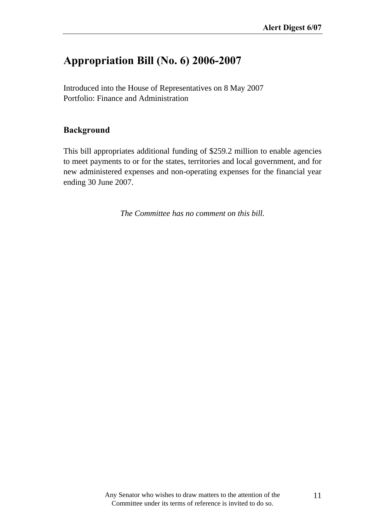### **Appropriation Bill (No. 6) 2006-2007**

Introduced into the House of Representatives on 8 May 2007 Portfolio: Finance and Administration

#### **Background**

This bill appropriates additional funding of \$259.2 million to enable agencies to meet payments to or for the states, territories and local government, and for new administered expenses and non-operating expenses for the financial year ending 30 June 2007.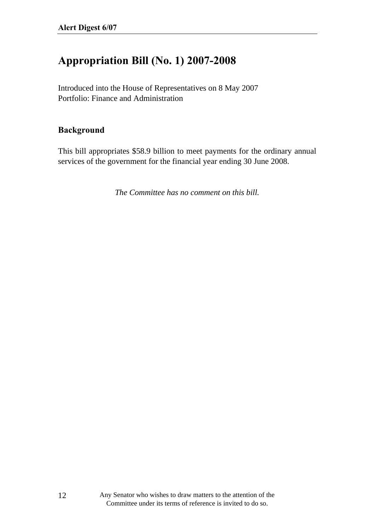### **Appropriation Bill (No. 1) 2007-2008**

Introduced into the House of Representatives on 8 May 2007 Portfolio: Finance and Administration

#### **Background**

This bill appropriates \$58.9 billion to meet payments for the ordinary annual services of the government for the financial year ending 30 June 2008.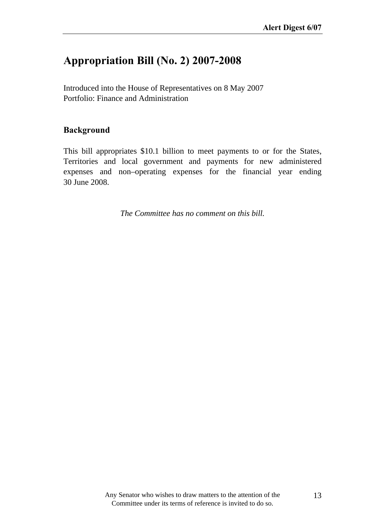### **Appropriation Bill (No. 2) 2007-2008**

Introduced into the House of Representatives on 8 May 2007 Portfolio: Finance and Administration

#### **Background**

This bill appropriates \$10.1 billion to meet payments to or for the States, Territories and local government and payments for new administered expenses and non–operating expenses for the financial year ending 30 June 2008.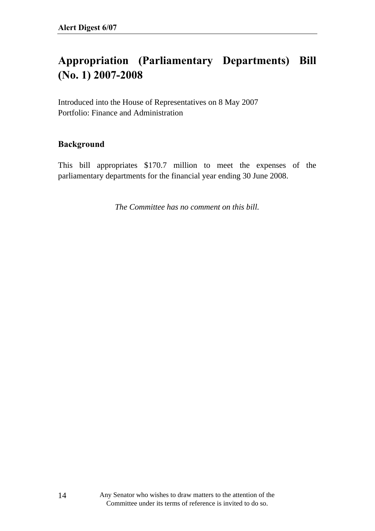## **Appropriation (Parliamentary Departments) Bill (No. 1) 2007-2008**

Introduced into the House of Representatives on 8 May 2007 Portfolio: Finance and Administration

#### **Background**

This bill appropriates \$170.7 million to meet the expenses of the parliamentary departments for the financial year ending 30 June 2008.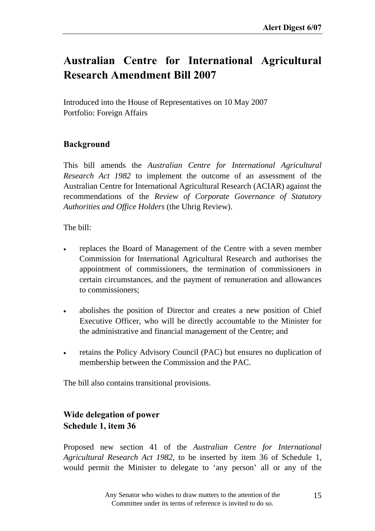### **Australian Centre for International Agricultural Research Amendment Bill 2007**

Introduced into the House of Representatives on 10 May 2007 Portfolio: Foreign Affairs

#### **Background**

This bill amends the *Australian Centre for International Agricultural Research Act 1982* to implement the outcome of an assessment of the Australian Centre for International Agricultural Research (ACIAR) against the recommendations of the *Review of Corporate Governance of Statutory Authorities and Office Holders* (the Uhrig Review).

The bill:

- replaces the Board of Management of the Centre with a seven member Commission for International Agricultural Research and authorises the appointment of commissioners, the termination of commissioners in certain circumstances, and the payment of remuneration and allowances to commissioners;
- abolishes the position of Director and creates a new position of Chief Executive Officer, who will be directly accountable to the Minister for the administrative and financial management of the Centre; and
- retains the Policy Advisory Council (PAC) but ensures no duplication of membership between the Commission and the PAC.

The bill also contains transitional provisions.

### **Wide delegation of power Schedule 1, item 36**

Proposed new section 41 of the *Australian Centre for International Agricultural Research Act 1982*, to be inserted by item 36 of Schedule 1, would permit the Minister to delegate to 'any person' all or any of the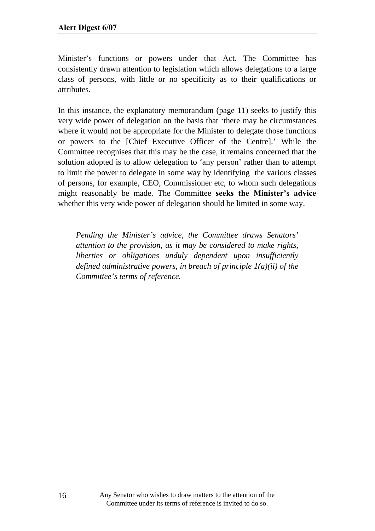Minister's functions or powers under that Act. The Committee has consistently drawn attention to legislation which allows delegations to a large class of persons, with little or no specificity as to their qualifications or attributes.

In this instance, the explanatory memorandum (page 11) seeks to justify this very wide power of delegation on the basis that 'there may be circumstances where it would not be appropriate for the Minister to delegate those functions or powers to the [Chief Executive Officer of the Centre].' While the Committee recognises that this may be the case, it remains concerned that the solution adopted is to allow delegation to 'any person' rather than to attempt to limit the power to delegate in some way by identifying the various classes of persons, for example, CEO, Commissioner etc, to whom such delegations might reasonably be made. The Committee seeks the Minister's advice whether this very wide power of delegation should be limited in some way.

*Pending the Minister's advice, the Committee draws Senators' attention to the provision, as it may be considered to make rights, liberties or obligations unduly dependent upon insufficiently defined administrative powers, in breach of principle 1(a)(ii) of the Committee's terms of reference.*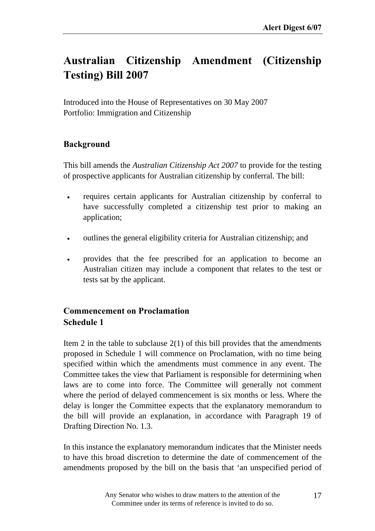# **Australian Citizenship Amendment (Citizenship Testing) Bill 2007**

Introduced into the House of Representatives on 30 May 2007 Portfolio: Immigration and Citizenship

#### **Background**

This bill amends the *Australian Citizenship Act 2007* to provide for the testing of prospective applicants for Australian citizenship by conferral. The bill:

- requires certain applicants for Australian citizenship by conferral to have successfully completed a citizenship test prior to making an application;
- outlines the general eligibility criteria for Australian citizenship; and
- provides that the fee prescribed for an application to become an Australian citizen may include a component that relates to the test or tests sat by the applicant.

### **Commencement on Proclamation Schedule 1**

Item 2 in the table to subclause  $2(1)$  of this bill provides that the amendments proposed in Schedule 1 will commence on Proclamation, with no time being specified within which the amendments must commence in any event. The Committee takes the view that Parliament is responsible for determining when laws are to come into force. The Committee will generally not comment where the period of delayed commencement is six months or less. Where the delay is longer the Committee expects that the explanatory memorandum to the bill will provide an explanation, in accordance with Paragraph 19 of Drafting Direction No. 1.3.

In this instance the explanatory memorandum indicates that the Minister needs to have this broad discretion to determine the date of commencement of the amendments proposed by the bill on the basis that 'an unspecified period of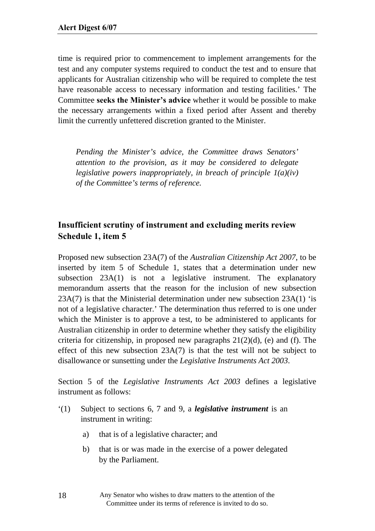time is required prior to commencement to implement arrangements for the test and any computer systems required to conduct the test and to ensure that applicants for Australian citizenship who will be required to complete the test have reasonable access to necessary information and testing facilities.' The Committee **seeks the Minister's advice** whether it would be possible to make the necessary arrangements within a fixed period after Assent and thereby limit the currently unfettered discretion granted to the Minister.

*Pending the Minister's advice, the Committee draws Senators' attention to the provision, as it may be considered to delegate legislative powers inappropriately, in breach of principle 1(a)(iv) of the Committee's terms of reference.* 

#### **Insufficient scrutiny of instrument and excluding merits review Schedule 1, item 5**

Proposed new subsection 23A(7) of the *Australian Citizenship Act 2007*, to be inserted by item 5 of Schedule 1, states that a determination under new subsection 23A(1) is not a legislative instrument. The explanatory memorandum asserts that the reason for the inclusion of new subsection  $23A(7)$  is that the Ministerial determination under new subsection  $23A(1)$  'is not of a legislative character.' The determination thus referred to is one under which the Minister is to approve a test, to be administered to applicants for Australian citizenship in order to determine whether they satisfy the eligibility criteria for citizenship, in proposed new paragraphs  $21(2)(d)$ , (e) and (f). The effect of this new subsection 23A(7) is that the test will not be subject to disallowance or sunsetting under the *Legislative Instruments Act 2003*.

Section 5 of the *Legislative Instruments Act 2003* defines a legislative instrument as follows:

- '(1) Subject to sections 6, 7 and 9, a *legislative instrument* is an instrument in writing:
	- a) that is of a legislative character; and
	- b) that is or was made in the exercise of a power delegated by the Parliament.

Any Senator who wishes to draw matters to the attention of the Committee under its terms of reference is invited to do so.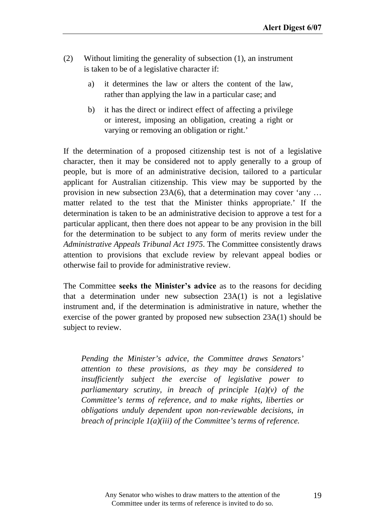- (2) Without limiting the generality of subsection (1), an instrument is taken to be of a legislative character if:
	- a) it determines the law or alters the content of the law, rather than applying the law in a particular case; and
	- b) it has the direct or indirect effect of affecting a privilege or interest, imposing an obligation, creating a right or varying or removing an obligation or right.'

If the determination of a proposed citizenship test is not of a legislative character, then it may be considered not to apply generally to a group of people, but is more of an administrative decision, tailored to a particular applicant for Australian citizenship. This view may be supported by the provision in new subsection 23A(6), that a determination may cover 'any … matter related to the test that the Minister thinks appropriate.' If the determination is taken to be an administrative decision to approve a test for a particular applicant, then there does not appear to be any provision in the bill for the determination to be subject to any form of merits review under the *Administrative Appeals Tribunal Act 1975*. The Committee consistently draws attention to provisions that exclude review by relevant appeal bodies or otherwise fail to provide for administrative review.

The Committee **seeks the Minister's advice** as to the reasons for deciding that a determination under new subsection 23A(1) is not a legislative instrument and, if the determination is administrative in nature, whether the exercise of the power granted by proposed new subsection 23A(1) should be subject to review.

*Pending the Minister's advice, the Committee draws Senators' attention to these provisions, as they may be considered to insufficiently subject the exercise of legislative power to parliamentary scrutiny, in breach of principle 1(a)(v) of the Committee's terms of reference, and to make rights, liberties or obligations unduly dependent upon non-reviewable decisions, in breach of principle 1(a)(iii) of the Committee's terms of reference.*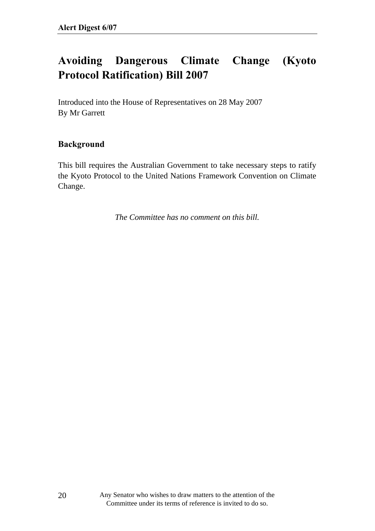## **Avoiding Dangerous Climate Change (Kyoto Protocol Ratification) Bill 2007**

Introduced into the House of Representatives on 28 May 2007 By Mr Garrett

#### **Background**

This bill requires the Australian Government to take necessary steps to ratify the Kyoto Protocol to the United Nations Framework Convention on Climate Change.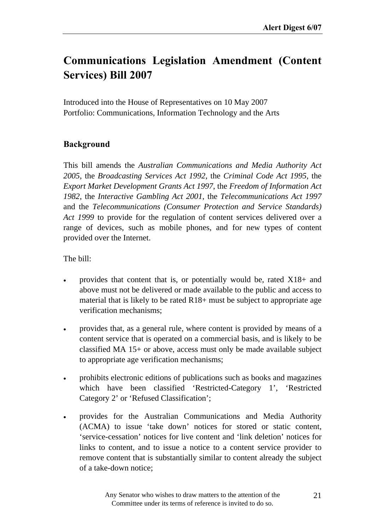### **Communications Legislation Amendment (Content Services) Bill 2007**

Introduced into the House of Representatives on 10 May 2007 Portfolio: Communications, Information Technology and the Arts

#### **Background**

This bill amends the *Australian Communications and Media Authority Act 2005*, the *Broadcasting Services Act 1992*, the *Criminal Code Act 1995*, the *Export Market Development Grants Act 1997*, the *Freedom of Information Act 1982*, the *Interactive Gambling Act 2001*, the *Telecommunications Act 1997* and the *Telecommunications (Consumer Protection and Service Standards) Act 1999* to provide for the regulation of content services delivered over a range of devices, such as mobile phones, and for new types of content provided over the Internet.

The bill:

- provides that content that is, or potentially would be, rated X18+ and above must not be delivered or made available to the public and access to material that is likely to be rated R18+ must be subject to appropriate age verification mechanisms;
- provides that, as a general rule, where content is provided by means of a content service that is operated on a commercial basis, and is likely to be classified MA 15+ or above, access must only be made available subject to appropriate age verification mechanisms;
- prohibits electronic editions of publications such as books and magazines which have been classified 'Restricted-Category 1', 'Restricted Category 2' or 'Refused Classification';
- provides for the Australian Communications and Media Authority (ACMA) to issue 'take down' notices for stored or static content, 'service-cessation' notices for live content and 'link deletion' notices for links to content, and to issue a notice to a content service provider to remove content that is substantially similar to content already the subject of a take-down notice;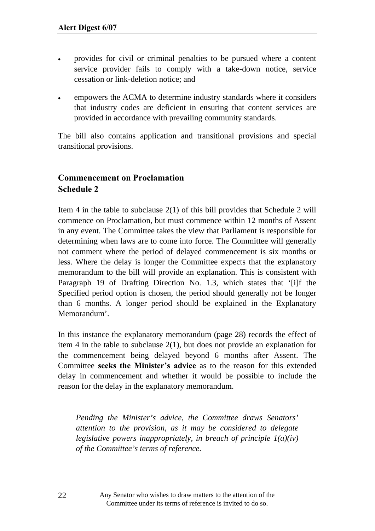- provides for civil or criminal penalties to be pursued where a content service provider fails to comply with a take-down notice, service cessation or link-deletion notice; and
- empowers the ACMA to determine industry standards where it considers that industry codes are deficient in ensuring that content services are provided in accordance with prevailing community standards.

The bill also contains application and transitional provisions and special transitional provisions.

#### **Commencement on Proclamation Schedule 2**

Item 4 in the table to subclause 2(1) of this bill provides that Schedule 2 will commence on Proclamation, but must commence within 12 months of Assent in any event. The Committee takes the view that Parliament is responsible for determining when laws are to come into force. The Committee will generally not comment where the period of delayed commencement is six months or less. Where the delay is longer the Committee expects that the explanatory memorandum to the bill will provide an explanation. This is consistent with Paragraph 19 of Drafting Direction No. 1.3, which states that '[i]f the Specified period option is chosen, the period should generally not be longer than 6 months. A longer period should be explained in the Explanatory Memorandum'.

In this instance the explanatory memorandum (page 28) records the effect of item 4 in the table to subclause 2(1), but does not provide an explanation for the commencement being delayed beyond 6 months after Assent. The Committee **seeks the Ministerís advice** as to the reason for this extended delay in commencement and whether it would be possible to include the reason for the delay in the explanatory memorandum.

*Pending the Minister's advice, the Committee draws Senators' attention to the provision, as it may be considered to delegate legislative powers inappropriately, in breach of principle 1(a)(iv) of the Committee's terms of reference.*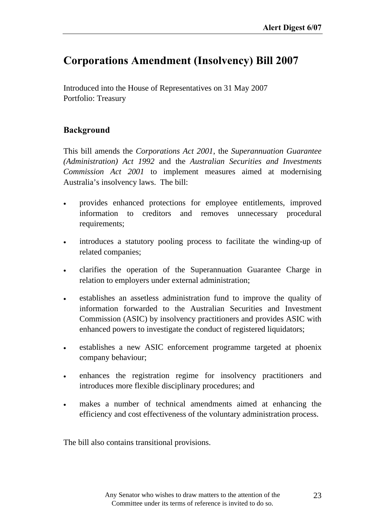### **Corporations Amendment (Insolvency) Bill 2007**

Introduced into the House of Representatives on 31 May 2007 Portfolio: Treasury

#### **Background**

This bill amends the *Corporations Act 2001*, the *Superannuation Guarantee (Administration) Act 1992* and the *Australian Securities and Investments Commission Act 2001* to implement measures aimed at modernising Australia's insolvency laws. The bill:

- provides enhanced protections for employee entitlements, improved information to creditors and removes unnecessary procedural requirements;
- introduces a statutory pooling process to facilitate the winding-up of related companies;
- clarifies the operation of the Superannuation Guarantee Charge in relation to employers under external administration;
- establishes an assetless administration fund to improve the quality of information forwarded to the Australian Securities and Investment Commission (ASIC) by insolvency practitioners and provides ASIC with enhanced powers to investigate the conduct of registered liquidators;
- establishes a new ASIC enforcement programme targeted at phoenix company behaviour;
- enhances the registration regime for insolvency practitioners and introduces more flexible disciplinary procedures; and
- makes a number of technical amendments aimed at enhancing the efficiency and cost effectiveness of the voluntary administration process.

The bill also contains transitional provisions.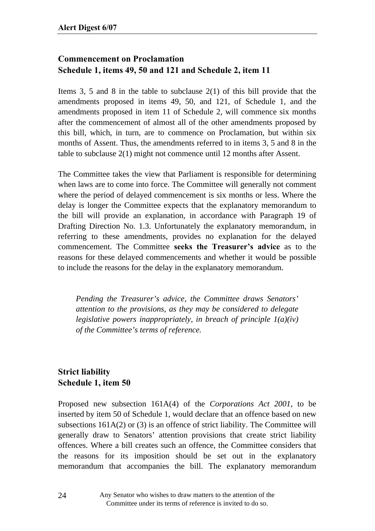### **Commencement on Proclamation Schedule 1, items 49, 50 and 121 and Schedule 2, item 11**

Items 3, 5 and 8 in the table to subclause 2(1) of this bill provide that the amendments proposed in items 49, 50, and 121, of Schedule 1, and the amendments proposed in item 11 of Schedule 2, will commence six months after the commencement of almost all of the other amendments proposed by this bill, which, in turn, are to commence on Proclamation, but within six months of Assent. Thus, the amendments referred to in items 3, 5 and 8 in the table to subclause 2(1) might not commence until 12 months after Assent.

The Committee takes the view that Parliament is responsible for determining when laws are to come into force. The Committee will generally not comment where the period of delayed commencement is six months or less. Where the delay is longer the Committee expects that the explanatory memorandum to the bill will provide an explanation, in accordance with Paragraph 19 of Drafting Direction No. 1.3. Unfortunately the explanatory memorandum, in referring to these amendments, provides no explanation for the delayed commencement. The Committee seeks the Treasurer's advice as to the reasons for these delayed commencements and whether it would be possible to include the reasons for the delay in the explanatory memorandum.

*Pending the Treasurer's advice, the Committee draws Senators' attention to the provisions, as they may be considered to delegate legislative powers inappropriately, in breach of principle 1(a)(iv) of the Committee's terms of reference.* 

### **Strict liability Schedule 1, item 50**

Proposed new subsection 161A(4) of the *Corporations Act 2001*, to be inserted by item 50 of Schedule 1, would declare that an offence based on new subsections 161A(2) or (3) is an offence of strict liability. The Committee will generally draw to Senators' attention provisions that create strict liability offences. Where a bill creates such an offence, the Committee considers that the reasons for its imposition should be set out in the explanatory memorandum that accompanies the bill. The explanatory memorandum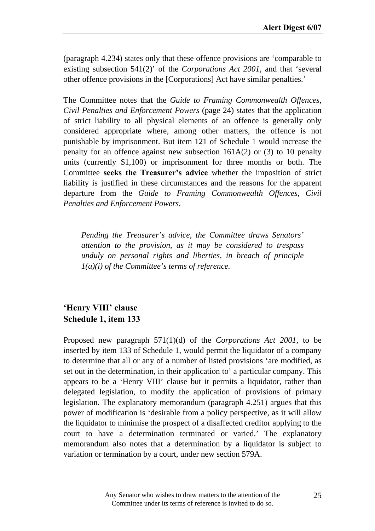(paragraph 4.234) states only that these offence provisions are 'comparable to existing subsection 541(2)' of the *Corporations Act 2001*, and that 'several other offence provisions in the [Corporations] Act have similar penalties.'

The Committee notes that the *Guide to Framing Commonwealth Offences, Civil Penalties and Enforcement Powers* (page 24) states that the application of strict liability to all physical elements of an offence is generally only considered appropriate where, among other matters, the offence is not punishable by imprisonment. But item 121 of Schedule 1 would increase the penalty for an offence against new subsection 161A(2) or (3) to 10 penalty units (currently \$1,100) or imprisonment for three months or both. The Committee **seeks the Treasurer's advice** whether the imposition of strict liability is justified in these circumstances and the reasons for the apparent departure from the *Guide to Framing Commonwealth Offences, Civil Penalties and Enforcement Powers*.

*Pending the Treasurer's advice, the Committee draws Senators' attention to the provision, as it may be considered to trespass unduly on personal rights and liberties, in breach of principle 1(a)(i) of the Committee's terms of reference.*

### **ëHenry VIIIí clause Schedule 1, item 133**

Proposed new paragraph 571(1)(d) of the *Corporations Act 2001*, to be inserted by item 133 of Schedule 1, would permit the liquidator of a company to determine that all or any of a number of listed provisions 'are modified, as set out in the determination, in their application to' a particular company. This appears to be a 'Henry VIII' clause but it permits a liquidator, rather than delegated legislation, to modify the application of provisions of primary legislation. The explanatory memorandum (paragraph 4.251) argues that this power of modification is 'desirable from a policy perspective, as it will allow the liquidator to minimise the prospect of a disaffected creditor applying to the court to have a determination terminated or varied.' The explanatory memorandum also notes that a determination by a liquidator is subject to variation or termination by a court, under new section 579A.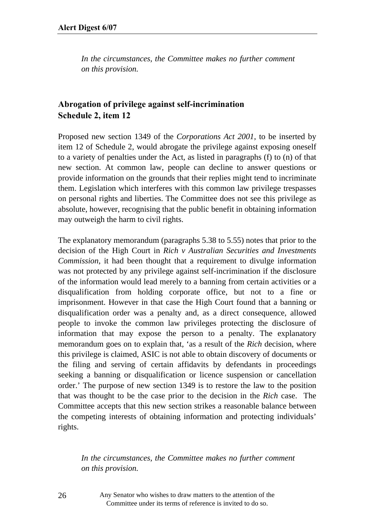*In the circumstances, the Committee makes no further comment on this provision.* 

#### **Abrogation of privilege against self-incrimination Schedule 2, item 12**

Proposed new section 1349 of the *Corporations Act 2001*, to be inserted by item 12 of Schedule 2, would abrogate the privilege against exposing oneself to a variety of penalties under the Act, as listed in paragraphs (f) to (n) of that new section. At common law, people can decline to answer questions or provide information on the grounds that their replies might tend to incriminate them. Legislation which interferes with this common law privilege trespasses on personal rights and liberties. The Committee does not see this privilege as absolute, however, recognising that the public benefit in obtaining information may outweigh the harm to civil rights.

The explanatory memorandum (paragraphs 5.38 to 5.55) notes that prior to the decision of the High Court in *Rich v Australian Securities and Investments Commission*, it had been thought that a requirement to divulge information was not protected by any privilege against self-incrimination if the disclosure of the information would lead merely to a banning from certain activities or a disqualification from holding corporate office, but not to a fine or imprisonment. However in that case the High Court found that a banning or disqualification order was a penalty and, as a direct consequence, allowed people to invoke the common law privileges protecting the disclosure of information that may expose the person to a penalty. The explanatory memorandum goes on to explain that, 'as a result of the *Rich* decision, where this privilege is claimed, ASIC is not able to obtain discovery of documents or the filing and serving of certain affidavits by defendants in proceedings seeking a banning or disqualification or licence suspension or cancellation order.' The purpose of new section 1349 is to restore the law to the position that was thought to be the case prior to the decision in the *Rich* case. The Committee accepts that this new section strikes a reasonable balance between the competing interests of obtaining information and protecting individuals' rights.

*In the circumstances, the Committee makes no further comment on this provision.* 

Any Senator who wishes to draw matters to the attention of the Committee under its terms of reference is invited to do so.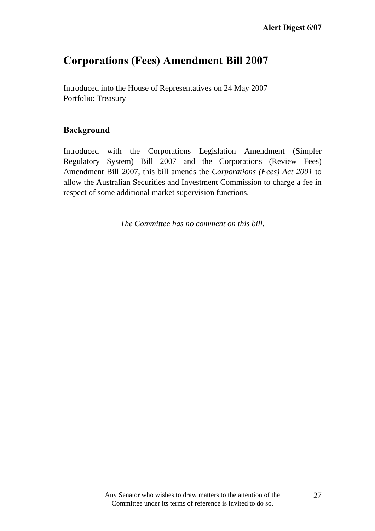### **Corporations (Fees) Amendment Bill 2007**

Introduced into the House of Representatives on 24 May 2007 Portfolio: Treasury

#### **Background**

Introduced with the Corporations Legislation Amendment (Simpler Regulatory System) Bill 2007 and the Corporations (Review Fees) Amendment Bill 2007, this bill amends the *Corporations (Fees) Act 2001* to allow the Australian Securities and Investment Commission to charge a fee in respect of some additional market supervision functions.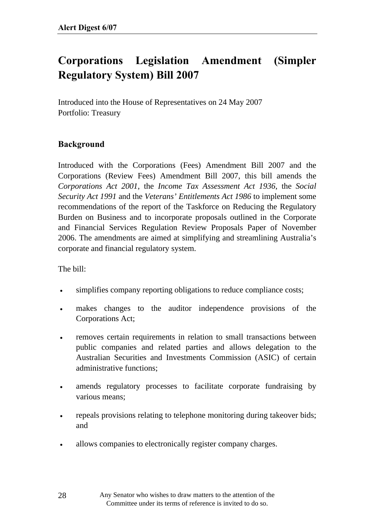## **Corporations Legislation Amendment (Simpler Regulatory System) Bill 2007**

Introduced into the House of Representatives on 24 May 2007 Portfolio: Treasury

#### **Background**

Introduced with the Corporations (Fees) Amendment Bill 2007 and the Corporations (Review Fees) Amendment Bill 2007, this bill amends the *Corporations Act 2001*, the *Income Tax Assessment Act 1936*, the *Social Security Act 1991* and the *Veterans' Entitlements Act 1986* to implement some recommendations of the report of the Taskforce on Reducing the Regulatory Burden on Business and to incorporate proposals outlined in the Corporate and Financial Services Regulation Review Proposals Paper of November 2006. The amendments are aimed at simplifying and streamlining Australia's corporate and financial regulatory system.

The bill:

- simplifies company reporting obligations to reduce compliance costs;
- makes changes to the auditor independence provisions of the Corporations Act;
- removes certain requirements in relation to small transactions between public companies and related parties and allows delegation to the Australian Securities and Investments Commission (ASIC) of certain administrative functions;
- amends regulatory processes to facilitate corporate fundraising by various means;
- repeals provisions relating to telephone monitoring during takeover bids; and
- allows companies to electronically register company charges.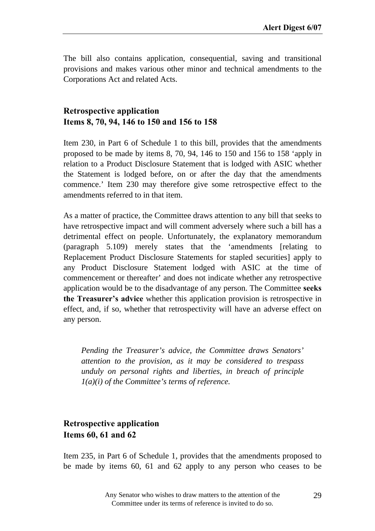The bill also contains application, consequential, saving and transitional provisions and makes various other minor and technical amendments to the Corporations Act and related Acts.

#### **Retrospective application Items 8, 70, 94, 146 to 150 and 156 to 158**

Item 230, in Part 6 of Schedule 1 to this bill, provides that the amendments proposed to be made by items 8, 70, 94, 146 to 150 and 156 to 158 'apply in relation to a Product Disclosure Statement that is lodged with ASIC whether the Statement is lodged before, on or after the day that the amendments commence.' Item 230 may therefore give some retrospective effect to the amendments referred to in that item.

As a matter of practice, the Committee draws attention to any bill that seeks to have retrospective impact and will comment adversely where such a bill has a detrimental effect on people. Unfortunately, the explanatory memorandum (paragraph 5.109) merely states that the 'amendments [relating to Replacement Product Disclosure Statements for stapled securities] apply to any Product Disclosure Statement lodged with ASIC at the time of commencement or thereafter' and does not indicate whether any retrospective application would be to the disadvantage of any person. The Committee **seeks the Treasurer's advice** whether this application provision is retrospective in effect, and, if so, whether that retrospectivity will have an adverse effect on any person.

*Pending the Treasurer's advice, the Committee draws Senators' attention to the provision, as it may be considered to trespass unduly on personal rights and liberties, in breach of principle 1(a)(i) of the Committee's terms of reference.*

#### **Retrospective application Items 60, 61 and 62**

Item 235, in Part 6 of Schedule 1, provides that the amendments proposed to be made by items 60, 61 and 62 apply to any person who ceases to be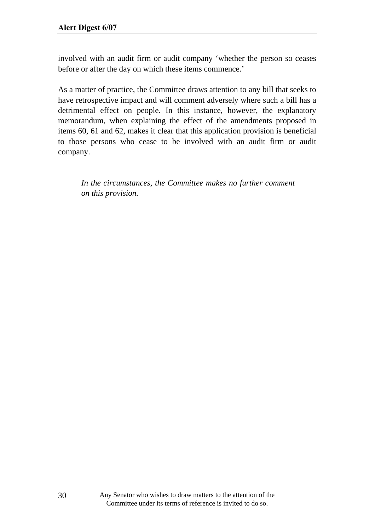involved with an audit firm or audit company 'whether the person so ceases before or after the day on which these items commence.'

As a matter of practice, the Committee draws attention to any bill that seeks to have retrospective impact and will comment adversely where such a bill has a detrimental effect on people. In this instance, however, the explanatory memorandum, when explaining the effect of the amendments proposed in items 60, 61 and 62, makes it clear that this application provision is beneficial to those persons who cease to be involved with an audit firm or audit company.

*In the circumstances, the Committee makes no further comment on this provision.*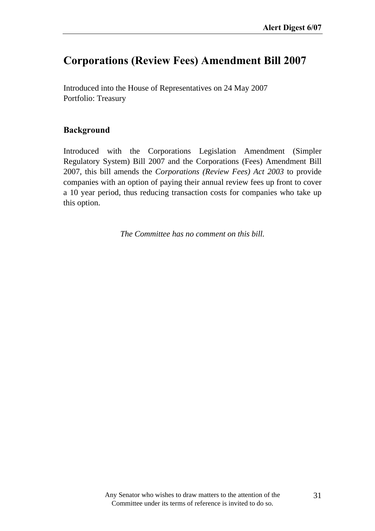## **Corporations (Review Fees) Amendment Bill 2007**

Introduced into the House of Representatives on 24 May 2007 Portfolio: Treasury

### **Background**

Introduced with the Corporations Legislation Amendment (Simpler Regulatory System) Bill 2007 and the Corporations (Fees) Amendment Bill 2007, this bill amends the *Corporations (Review Fees) Act 2003* to provide companies with an option of paying their annual review fees up front to cover a 10 year period, thus reducing transaction costs for companies who take up this option.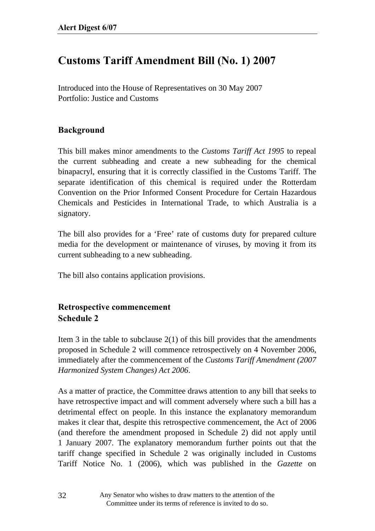# **Customs Tariff Amendment Bill (No. 1) 2007**

Introduced into the House of Representatives on 30 May 2007 Portfolio: Justice and Customs

### **Background**

This bill makes minor amendments to the *Customs Tariff Act 1995* to repeal the current subheading and create a new subheading for the chemical binapacryl, ensuring that it is correctly classified in the Customs Tariff. The separate identification of this chemical is required under the Rotterdam Convention on the Prior Informed Consent Procedure for Certain Hazardous Chemicals and Pesticides in International Trade, to which Australia is a signatory.

The bill also provides for a 'Free' rate of customs duty for prepared culture media for the development or maintenance of viruses, by moving it from its current subheading to a new subheading.

The bill also contains application provisions.

## **Retrospective commencement Schedule 2**

Item 3 in the table to subclause  $2(1)$  of this bill provides that the amendments proposed in Schedule 2 will commence retrospectively on 4 November 2006, immediately after the commencement of the *Customs Tariff Amendment (2007 Harmonized System Changes) Act 2006*.

As a matter of practice, the Committee draws attention to any bill that seeks to have retrospective impact and will comment adversely where such a bill has a detrimental effect on people. In this instance the explanatory memorandum makes it clear that, despite this retrospective commencement, the Act of 2006 (and therefore the amendment proposed in Schedule 2) did not apply until 1 January 2007. The explanatory memorandum further points out that the tariff change specified in Schedule 2 was originally included in Customs Tariff Notice No. 1 (2006), which was published in the *Gazette* on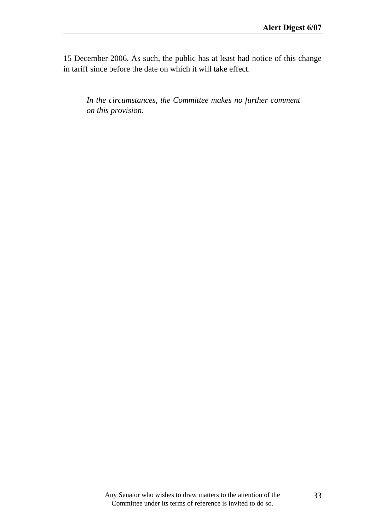15 December 2006. As such, the public has at least had notice of this change in tariff since before the date on which it will take effect.

*In the circumstances, the Committee makes no further comment on this provision.*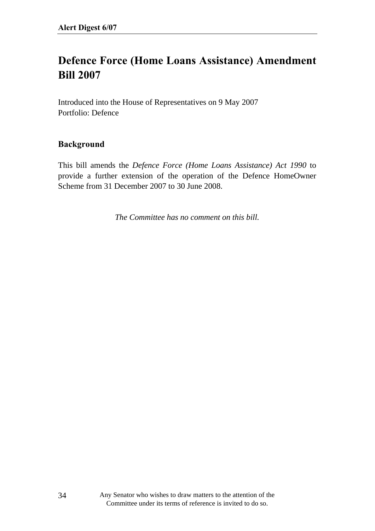# **Defence Force (Home Loans Assistance) Amendment Bill 2007**

Introduced into the House of Representatives on 9 May 2007 Portfolio: Defence

#### **Background**

This bill amends the *Defence Force (Home Loans Assistance) Act 1990* to provide a further extension of the operation of the Defence HomeOwner Scheme from 31 December 2007 to 30 June 2008.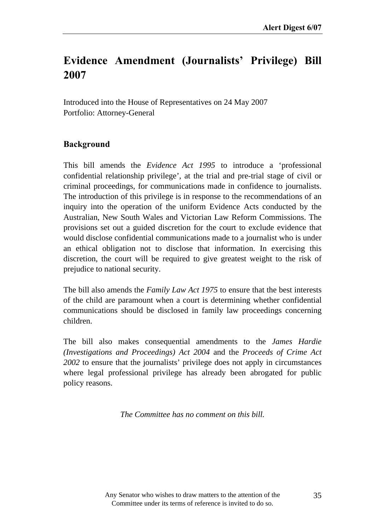# Evidence Amendment (Journalists' Privilege) Bill **2007**

Introduced into the House of Representatives on 24 May 2007 Portfolio: Attorney-General

### **Background**

This bill amends the *Evidence Act 1995* to introduce a 'professional confidential relationship privilege', at the trial and pre-trial stage of civil or criminal proceedings, for communications made in confidence to journalists. The introduction of this privilege is in response to the recommendations of an inquiry into the operation of the uniform Evidence Acts conducted by the Australian, New South Wales and Victorian Law Reform Commissions. The provisions set out a guided discretion for the court to exclude evidence that would disclose confidential communications made to a journalist who is under an ethical obligation not to disclose that information. In exercising this discretion, the court will be required to give greatest weight to the risk of prejudice to national security.

The bill also amends the *Family Law Act 1975* to ensure that the best interests of the child are paramount when a court is determining whether confidential communications should be disclosed in family law proceedings concerning children.

The bill also makes consequential amendments to the *James Hardie (Investigations and Proceedings) Act 2004* and the *Proceeds of Crime Act 2002* to ensure that the journalists' privilege does not apply in circumstances where legal professional privilege has already been abrogated for public policy reasons.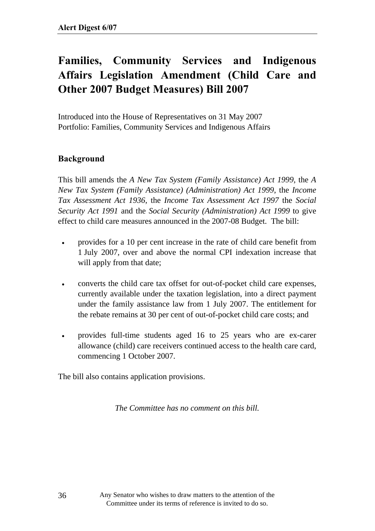# **Families, Community Services and Indigenous Affairs Legislation Amendment (Child Care and Other 2007 Budget Measures) Bill 2007**

Introduced into the House of Representatives on 31 May 2007 Portfolio: Families, Community Services and Indigenous Affairs

### **Background**

This bill amends the *A New Tax System (Family Assistance) Act 1999*, the *A New Tax System (Family Assistance) (Administration) Act 1999*, the *Income Tax Assessment Act 1936*, the *Income Tax Assessment Act 1997* the *Social Security Act 1991* and the *Social Security (Administration) Act 1999* to give effect to child care measures announced in the 2007-08 Budget. The bill:

- provides for a 10 per cent increase in the rate of child care benefit from 1 July 2007, over and above the normal CPI indexation increase that will apply from that date;
- converts the child care tax offset for out-of-pocket child care expenses, currently available under the taxation legislation, into a direct payment under the family assistance law from 1 July 2007. The entitlement for the rebate remains at 30 per cent of out-of-pocket child care costs; and
- provides full-time students aged 16 to 25 years who are ex-carer allowance (child) care receivers continued access to the health care card, commencing 1 October 2007.

The bill also contains application provisions.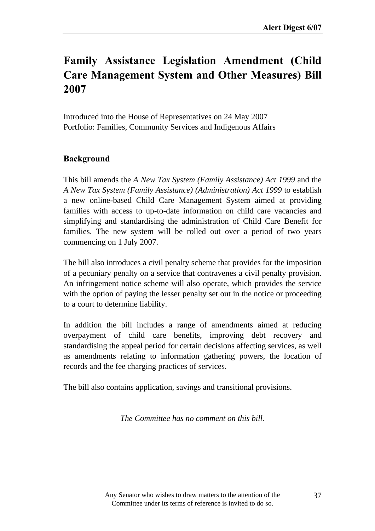# **Family Assistance Legislation Amendment (Child Care Management System and Other Measures) Bill 2007**

Introduced into the House of Representatives on 24 May 2007 Portfolio: Families, Community Services and Indigenous Affairs

### **Background**

This bill amends the *A New Tax System (Family Assistance) Act 1999* and the *A New Tax System (Family Assistance) (Administration) Act 1999* to establish a new online-based Child Care Management System aimed at providing families with access to up-to-date information on child care vacancies and simplifying and standardising the administration of Child Care Benefit for families. The new system will be rolled out over a period of two years commencing on 1 July 2007.

The bill also introduces a civil penalty scheme that provides for the imposition of a pecuniary penalty on a service that contravenes a civil penalty provision. An infringement notice scheme will also operate, which provides the service with the option of paying the lesser penalty set out in the notice or proceeding to a court to determine liability.

In addition the bill includes a range of amendments aimed at reducing overpayment of child care benefits, improving debt recovery and standardising the appeal period for certain decisions affecting services, as well as amendments relating to information gathering powers, the location of records and the fee charging practices of services.

The bill also contains application, savings and transitional provisions.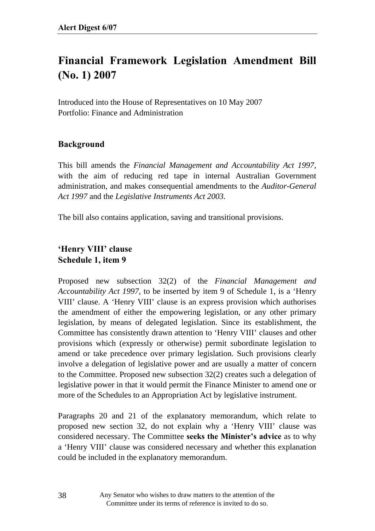# **Financial Framework Legislation Amendment Bill (No. 1) 2007**

Introduced into the House of Representatives on 10 May 2007 Portfolio: Finance and Administration

### **Background**

This bill amends the *Financial Management and Accountability Act 1997,* with the aim of reducing red tape in internal Australian Government administration, and makes consequential amendments to the *Auditor-General Act 1997* and the *Legislative Instruments Act 2003.*

The bill also contains application, saving and transitional provisions.

### **ëHenry VIIIí clause Schedule 1, item 9**

Proposed new subsection 32(2) of the *Financial Management and Accountability Act 1997*, to be inserted by item 9 of Schedule 1, is a 'Henry VIII' clause. A 'Henry VIII' clause is an express provision which authorises the amendment of either the empowering legislation, or any other primary legislation, by means of delegated legislation. Since its establishment, the Committee has consistently drawn attention to 'Henry VIII' clauses and other provisions which (expressly or otherwise) permit subordinate legislation to amend or take precedence over primary legislation. Such provisions clearly involve a delegation of legislative power and are usually a matter of concern to the Committee. Proposed new subsection 32(2) creates such a delegation of legislative power in that it would permit the Finance Minister to amend one or more of the Schedules to an Appropriation Act by legislative instrument.

Paragraphs 20 and 21 of the explanatory memorandum, which relate to proposed new section 32, do not explain why a 'Henry VIII' clause was considered necessary. The Committee **seeks the Minister's advice** as to why a 'Henry VIII' clause was considered necessary and whether this explanation could be included in the explanatory memorandum.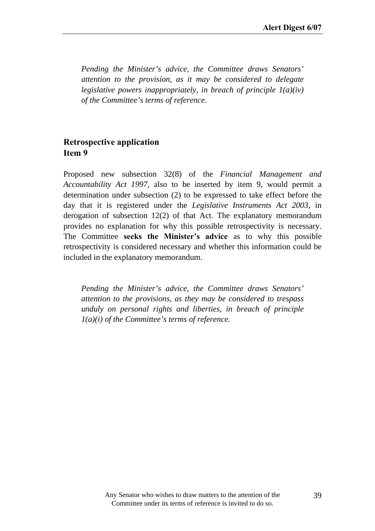*Pending the Minister's advice, the Committee draws Senators' attention to the provision, as it may be considered to delegate legislative powers inappropriately, in breach of principle 1(a)(iv) of the Committee's terms of reference.* 

### **Retrospective application Item 9**

Proposed new subsection 32(8) of the *Financial Management and Accountability Act 1997*, also to be inserted by item 9, would permit a determination under subsection (2) to be expressed to take effect before the day that it is registered under the *Legislative Instruments Act 2003*, in derogation of subsection 12(2) of that Act. The explanatory memorandum provides no explanation for why this possible retrospectivity is necessary. The Committee **seeks the Minister's advice** as to why this possible retrospectivity is considered necessary and whether this information could be included in the explanatory memorandum.

*Pending the Minister's advice, the Committee draws Senators' attention to the provisions, as they may be considered to trespass unduly on personal rights and liberties, in breach of principle 1(a)(i) of the Committee's terms of reference.*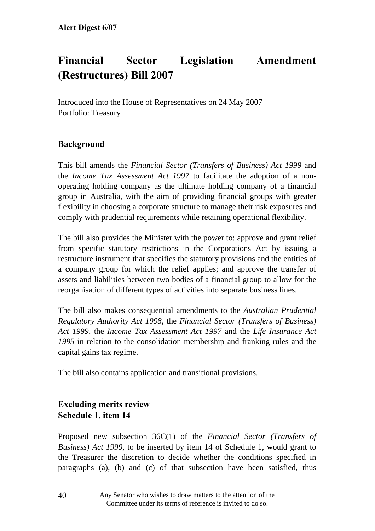# **Financial Sector Legislation Amendment (Restructures) Bill 2007**

Introduced into the House of Representatives on 24 May 2007 Portfolio: Treasury

### **Background**

This bill amends the *Financial Sector (Transfers of Business) Act 1999* and the *Income Tax Assessment Act 1997* to facilitate the adoption of a nonoperating holding company as the ultimate holding company of a financial group in Australia, with the aim of providing financial groups with greater flexibility in choosing a corporate structure to manage their risk exposures and comply with prudential requirements while retaining operational flexibility.

The bill also provides the Minister with the power to: approve and grant relief from specific statutory restrictions in the Corporations Act by issuing a restructure instrument that specifies the statutory provisions and the entities of a company group for which the relief applies; and approve the transfer of assets and liabilities between two bodies of a financial group to allow for the reorganisation of different types of activities into separate business lines.

The bill also makes consequential amendments to the *Australian Prudential Regulatory Authority Act 1998*, the *Financial Sector (Transfers of Business) Act 1999*, the *Income Tax Assessment Act 1997* and the *Life Insurance Act 1995* in relation to the consolidation membership and franking rules and the capital gains tax regime.

The bill also contains application and transitional provisions.

## **Excluding merits review Schedule 1, item 14**

Proposed new subsection 36C(1) of the *Financial Sector (Transfers of Business) Act 1999*, to be inserted by item 14 of Schedule 1, would grant to the Treasurer the discretion to decide whether the conditions specified in paragraphs (a), (b) and (c) of that subsection have been satisfied, thus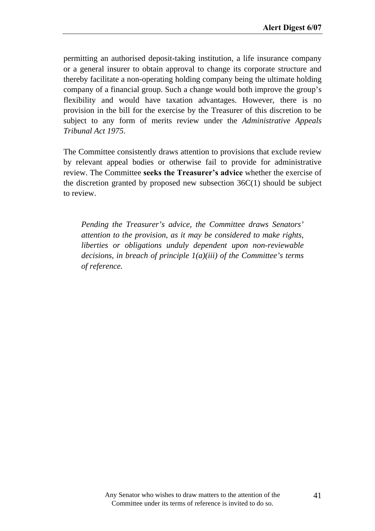permitting an authorised deposit-taking institution, a life insurance company or a general insurer to obtain approval to change its corporate structure and thereby facilitate a non-operating holding company being the ultimate holding company of a financial group. Such a change would both improve the group's flexibility and would have taxation advantages. However, there is no provision in the bill for the exercise by the Treasurer of this discretion to be subject to any form of merits review under the *Administrative Appeals Tribunal Act 1975*.

The Committee consistently draws attention to provisions that exclude review by relevant appeal bodies or otherwise fail to provide for administrative review. The Committee **seeks the Treasurer's advice** whether the exercise of the discretion granted by proposed new subsection  $36C(1)$  should be subject to review.

*Pending the Treasurer's advice, the Committee draws Senators' attention to the provision, as it may be considered to make rights, liberties or obligations unduly dependent upon non-reviewable decisions, in breach of principle 1(a)(iii) of the Committee's terms of reference.*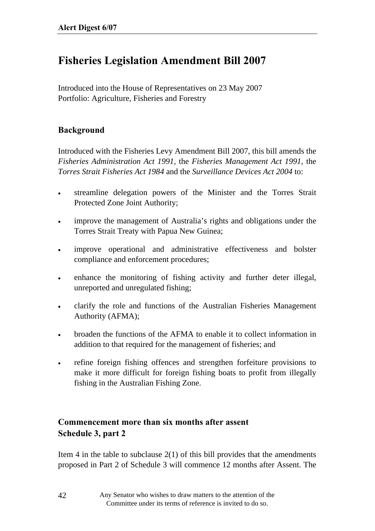# **Fisheries Legislation Amendment Bill 2007**

Introduced into the House of Representatives on 23 May 2007 Portfolio: Agriculture, Fisheries and Forestry

### **Background**

Introduced with the Fisheries Levy Amendment Bill 2007, this bill amends the *Fisheries Administration Act 1991*, the *Fisheries Management Act 1991*, the *Torres Strait Fisheries Act 1984* and the *Surveillance Devices Act 2004* to:

- streamline delegation powers of the Minister and the Torres Strait Protected Zone Joint Authority;
- improve the management of Australia's rights and obligations under the Torres Strait Treaty with Papua New Guinea;
- improve operational and administrative effectiveness and bolster compliance and enforcement procedures;
- enhance the monitoring of fishing activity and further deter illegal, unreported and unregulated fishing;
- clarify the role and functions of the Australian Fisheries Management Authority (AFMA);
- broaden the functions of the AFMA to enable it to collect information in addition to that required for the management of fisheries; and
- refine foreign fishing offences and strengthen forfeiture provisions to make it more difficult for foreign fishing boats to profit from illegally fishing in the Australian Fishing Zone.

### **Commencement more than six months after assent Schedule 3, part 2**

Item 4 in the table to subclause  $2(1)$  of this bill provides that the amendments proposed in Part 2 of Schedule 3 will commence 12 months after Assent. The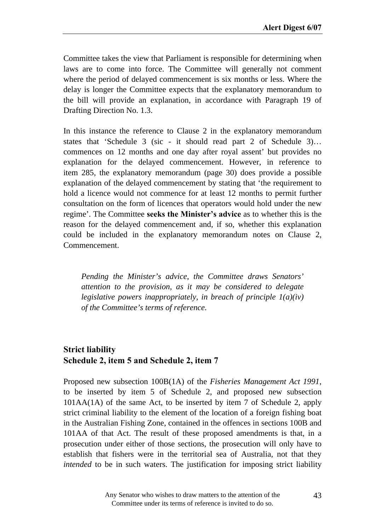Committee takes the view that Parliament is responsible for determining when laws are to come into force. The Committee will generally not comment where the period of delayed commencement is six months or less. Where the delay is longer the Committee expects that the explanatory memorandum to the bill will provide an explanation, in accordance with Paragraph 19 of Drafting Direction No. 1.3.

In this instance the reference to Clause 2 in the explanatory memorandum states that 'Schedule 3 (sic - it should read part 2 of Schedule 3)… commences on 12 months and one day after royal assent' but provides no explanation for the delayed commencement. However, in reference to item 285, the explanatory memorandum (page 30) does provide a possible explanation of the delayed commencement by stating that 'the requirement to hold a licence would not commence for at least 12 months to permit further consultation on the form of licences that operators would hold under the new regime'. The Committee **seeks the Minister's advice** as to whether this is the reason for the delayed commencement and, if so, whether this explanation could be included in the explanatory memorandum notes on Clause 2, Commencement.

*Pending the Minister's advice, the Committee draws Senators' attention to the provision, as it may be considered to delegate legislative powers inappropriately, in breach of principle 1(a)(iv) of the Committee's terms of reference.* 

## **Strict liability Schedule 2, item 5 and Schedule 2, item 7**

Proposed new subsection 100B(1A) of the *Fisheries Management Act 1991*, to be inserted by item 5 of Schedule 2, and proposed new subsection 101AA(1A) of the same Act, to be inserted by item 7 of Schedule 2, apply strict criminal liability to the element of the location of a foreign fishing boat in the Australian Fishing Zone, contained in the offences in sections 100B and 101AA of that Act. The result of these proposed amendments is that, in a prosecution under either of those sections, the prosecution will only have to establish that fishers were in the territorial sea of Australia, not that they *intended* to be in such waters. The justification for imposing strict liability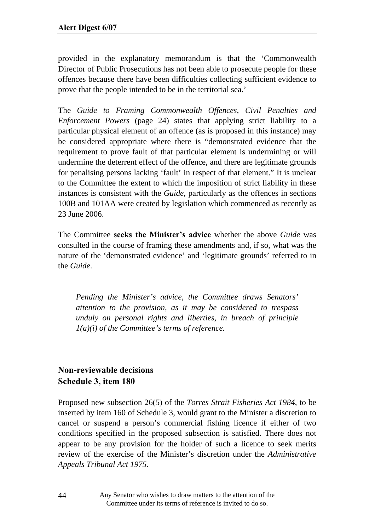provided in the explanatory memorandum is that the 'Commonwealth Director of Public Prosecutions has not been able to prosecute people for these offences because there have been difficulties collecting sufficient evidence to prove that the people intended to be in the territorial sea.'

The *Guide to Framing Commonwealth Offences, Civil Penalties and Enforcement Powers* (page 24) states that applying strict liability to a particular physical element of an offence (as is proposed in this instance) may be considered appropriate where there is "demonstrated evidence that the requirement to prove fault of that particular element is undermining or will undermine the deterrent effect of the offence, and there are legitimate grounds for penalising persons lacking 'fault' in respect of that element." It is unclear to the Committee the extent to which the imposition of strict liability in these instances is consistent with the *Guide,* particularly as the offences in sections 100B and 101AA were created by legislation which commenced as recently as 23 June 2006.

The Committee **seeks the Ministerís advice** whether the above *Guide* was consulted in the course of framing these amendments and, if so, what was the nature of the 'demonstrated evidence' and 'legitimate grounds' referred to in the *Guide*.

*Pending the Minister's advice, the Committee draws Senators' attention to the provision, as it may be considered to trespass unduly on personal rights and liberties, in breach of principle 1(a)(i) of the Committee's terms of reference.*

## **Non-reviewable decisions Schedule 3, item 180**

Proposed new subsection 26(5) of the *Torres Strait Fisheries Act 1984*, to be inserted by item 160 of Schedule 3, would grant to the Minister a discretion to cancel or suspend a person's commercial fishing licence if either of two conditions specified in the proposed subsection is satisfied. There does not appear to be any provision for the holder of such a licence to seek merits review of the exercise of the Minister's discretion under the *Administrative Appeals Tribunal Act 1975*.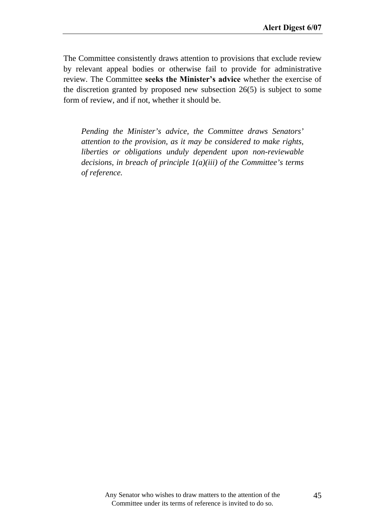The Committee consistently draws attention to provisions that exclude review by relevant appeal bodies or otherwise fail to provide for administrative review. The Committee **seeks the Minister's advice** whether the exercise of the discretion granted by proposed new subsection 26(5) is subject to some form of review, and if not, whether it should be.

*Pending the Minister's advice, the Committee draws Senators' attention to the provision, as it may be considered to make rights, liberties or obligations unduly dependent upon non-reviewable decisions, in breach of principle 1(a)(iii) of the Committee's terms of reference.*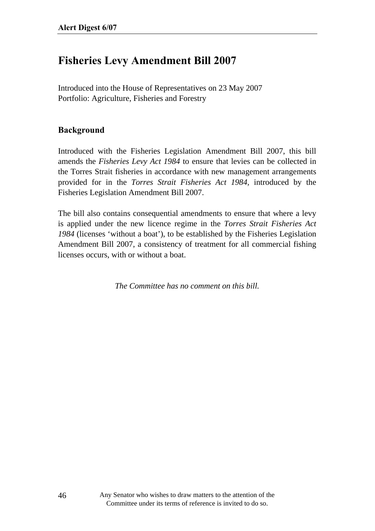## **Fisheries Levy Amendment Bill 2007**

Introduced into the House of Representatives on 23 May 2007 Portfolio: Agriculture, Fisheries and Forestry

### **Background**

Introduced with the Fisheries Legislation Amendment Bill 2007, this bill amends the *Fisheries Levy Act 1984* to ensure that levies can be collected in the Torres Strait fisheries in accordance with new management arrangements provided for in the *Torres Strait Fisheries Act 1984,* introduced by the Fisheries Legislation Amendment Bill 2007.

The bill also contains consequential amendments to ensure that where a levy is applied under the new licence regime in the *Torres Strait Fisheries Act 1984* (licenses 'without a boat'), to be established by the Fisheries Legislation Amendment Bill 2007, a consistency of treatment for all commercial fishing licenses occurs, with or without a boat.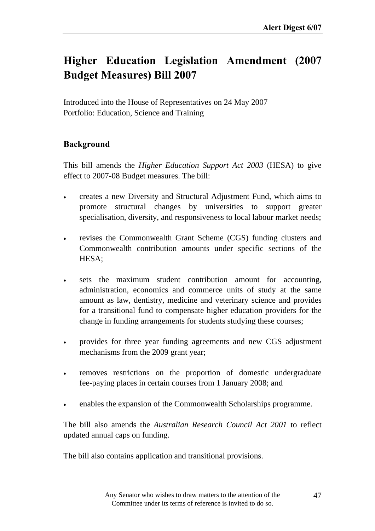# **Higher Education Legislation Amendment (2007 Budget Measures) Bill 2007**

Introduced into the House of Representatives on 24 May 2007 Portfolio: Education, Science and Training

### **Background**

This bill amends the *Higher Education Support Act 2003* (HESA) to give effect to 2007-08 Budget measures. The bill:

- creates a new Diversity and Structural Adjustment Fund, which aims to promote structural changes by universities to support greater specialisation, diversity, and responsiveness to local labour market needs;
- revises the Commonwealth Grant Scheme (CGS) funding clusters and Commonwealth contribution amounts under specific sections of the HESA;
- sets the maximum student contribution amount for accounting, administration, economics and commerce units of study at the same amount as law, dentistry, medicine and veterinary science and provides for a transitional fund to compensate higher education providers for the change in funding arrangements for students studying these courses;
- provides for three year funding agreements and new CGS adjustment mechanisms from the 2009 grant year;
- removes restrictions on the proportion of domestic undergraduate fee-paying places in certain courses from 1 January 2008; and
- enables the expansion of the Commonwealth Scholarships programme.

The bill also amends the *Australian Research Council Act 2001* to reflect updated annual caps on funding.

The bill also contains application and transitional provisions.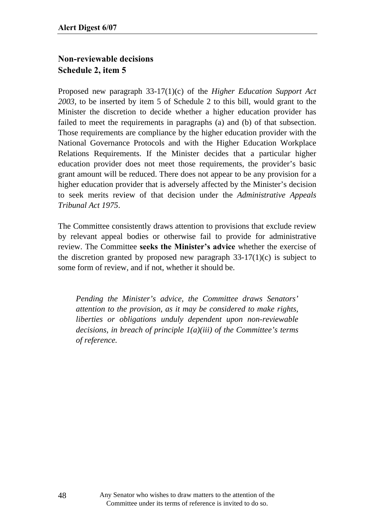## **Non-reviewable decisions Schedule 2, item 5**

Proposed new paragraph 33-17(1)(c) of the *Higher Education Support Act 2003*, to be inserted by item 5 of Schedule 2 to this bill, would grant to the Minister the discretion to decide whether a higher education provider has failed to meet the requirements in paragraphs (a) and (b) of that subsection. Those requirements are compliance by the higher education provider with the National Governance Protocols and with the Higher Education Workplace Relations Requirements. If the Minister decides that a particular higher education provider does not meet those requirements, the provider's basic grant amount will be reduced. There does not appear to be any provision for a higher education provider that is adversely affected by the Minister's decision to seek merits review of that decision under the *Administrative Appeals Tribunal Act 1975*.

The Committee consistently draws attention to provisions that exclude review by relevant appeal bodies or otherwise fail to provide for administrative review. The Committee seeks the Minister's advice whether the exercise of the discretion granted by proposed new paragraph  $33-17(1)(c)$  is subject to some form of review, and if not, whether it should be.

*Pending the Minister's advice, the Committee draws Senators' attention to the provision, as it may be considered to make rights, liberties or obligations unduly dependent upon non-reviewable decisions, in breach of principle 1(a)(iii) of the Committee's terms of reference.*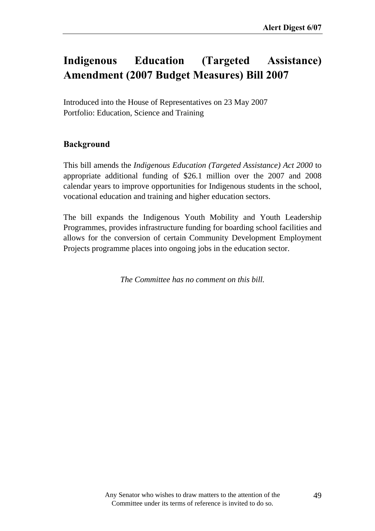# **Indigenous Education (Targeted Assistance) Amendment (2007 Budget Measures) Bill 2007**

Introduced into the House of Representatives on 23 May 2007 Portfolio: Education, Science and Training

### **Background**

This bill amends the *Indigenous Education (Targeted Assistance) Act 2000* to appropriate additional funding of \$26.1 million over the 2007 and 2008 calendar years to improve opportunities for Indigenous students in the school, vocational education and training and higher education sectors.

The bill expands the Indigenous Youth Mobility and Youth Leadership Programmes, provides infrastructure funding for boarding school facilities and allows for the conversion of certain Community Development Employment Projects programme places into ongoing jobs in the education sector.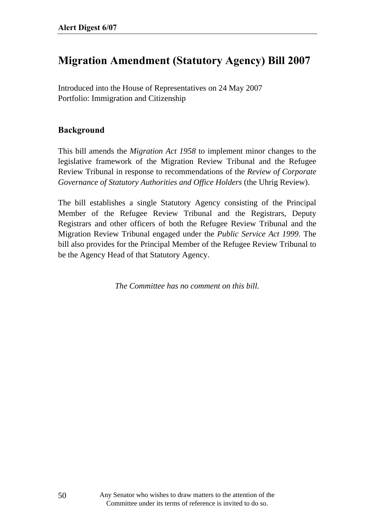# **Migration Amendment (Statutory Agency) Bill 2007**

Introduced into the House of Representatives on 24 May 2007 Portfolio: Immigration and Citizenship

#### **Background**

This bill amends the *Migration Act 1958* to implement minor changes to the legislative framework of the Migration Review Tribunal and the Refugee Review Tribunal in response to recommendations of the *Review of Corporate Governance of Statutory Authorities and Office Holders* (the Uhrig Review).

The bill establishes a single Statutory Agency consisting of the Principal Member of the Refugee Review Tribunal and the Registrars, Deputy Registrars and other officers of both the Refugee Review Tribunal and the Migration Review Tribunal engaged under the *Public Service Act 1999.* The bill also provides for the Principal Member of the Refugee Review Tribunal to be the Agency Head of that Statutory Agency.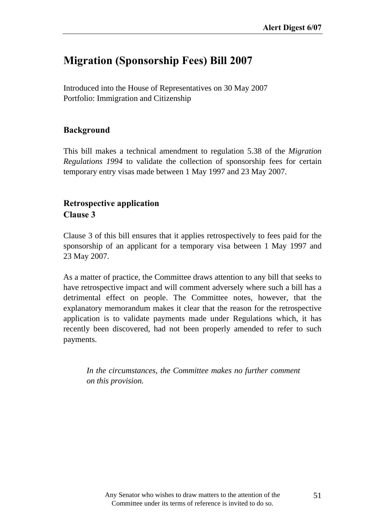# **Migration (Sponsorship Fees) Bill 2007**

Introduced into the House of Representatives on 30 May 2007 Portfolio: Immigration and Citizenship

### **Background**

This bill makes a technical amendment to regulation 5.38 of the *Migration Regulations 1994* to validate the collection of sponsorship fees for certain temporary entry visas made between 1 May 1997 and 23 May 2007.

## **Retrospective application Clause 3**

Clause 3 of this bill ensures that it applies retrospectively to fees paid for the sponsorship of an applicant for a temporary visa between 1 May 1997 and 23 May 2007.

As a matter of practice, the Committee draws attention to any bill that seeks to have retrospective impact and will comment adversely where such a bill has a detrimental effect on people. The Committee notes, however, that the explanatory memorandum makes it clear that the reason for the retrospective application is to validate payments made under Regulations which, it has recently been discovered, had not been properly amended to refer to such payments.

*In the circumstances, the Committee makes no further comment on this provision.*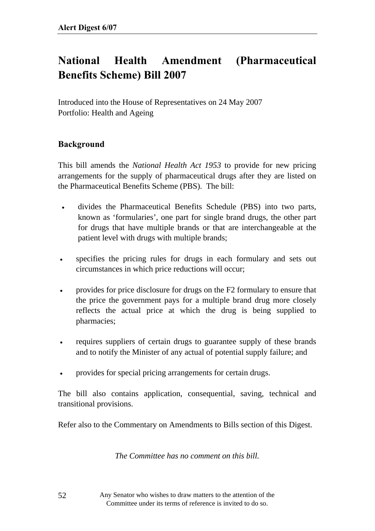# **National Health Amendment (Pharmaceutical Benefits Scheme) Bill 2007**

Introduced into the House of Representatives on 24 May 2007 Portfolio: Health and Ageing

### **Background**

This bill amends the *National Health Act 1953* to provide for new pricing arrangements for the supply of pharmaceutical drugs after they are listed on the Pharmaceutical Benefits Scheme (PBS). The bill:

- divides the Pharmaceutical Benefits Schedule (PBS) into two parts, known as 'formularies', one part for single brand drugs, the other part for drugs that have multiple brands or that are interchangeable at the patient level with drugs with multiple brands;
- specifies the pricing rules for drugs in each formulary and sets out circumstances in which price reductions will occur;
- provides for price disclosure for drugs on the F2 formulary to ensure that the price the government pays for a multiple brand drug more closely reflects the actual price at which the drug is being supplied to pharmacies;
- requires suppliers of certain drugs to guarantee supply of these brands and to notify the Minister of any actual of potential supply failure; and
- provides for special pricing arrangements for certain drugs.

The bill also contains application, consequential, saving, technical and transitional provisions.

Refer also to the Commentary on Amendments to Bills section of this Digest.

*The Committee has no comment on this bill.* 

Any Senator who wishes to draw matters to the attention of the Committee under its terms of reference is invited to do so.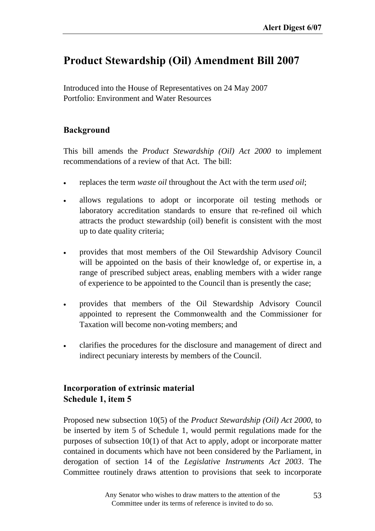## **Product Stewardship (Oil) Amendment Bill 2007**

Introduced into the House of Representatives on 24 May 2007 Portfolio: Environment and Water Resources

### **Background**

This bill amends the *Product Stewardship (Oil) Act 2000* to implement recommendations of a review of that Act. The bill:

- replaces the term *waste oil* throughout the Act with the term *used oil*;
- allows regulations to adopt or incorporate oil testing methods or laboratory accreditation standards to ensure that re-refined oil which attracts the product stewardship (oil) benefit is consistent with the most up to date quality criteria;
- provides that most members of the Oil Stewardship Advisory Council will be appointed on the basis of their knowledge of, or expertise in, a range of prescribed subject areas, enabling members with a wider range of experience to be appointed to the Council than is presently the case;
- provides that members of the Oil Stewardship Advisory Council appointed to represent the Commonwealth and the Commissioner for Taxation will become non-voting members; and
- clarifies the procedures for the disclosure and management of direct and indirect pecuniary interests by members of the Council.

### **Incorporation of extrinsic material Schedule 1, item 5**

Proposed new subsection 10(5) of the *Product Stewardship (Oil) Act 2000*, to be inserted by item 5 of Schedule 1, would permit regulations made for the purposes of subsection 10(1) of that Act to apply, adopt or incorporate matter contained in documents which have not been considered by the Parliament, in derogation of section 14 of the *Legislative Instruments Act 2003*. The Committee routinely draws attention to provisions that seek to incorporate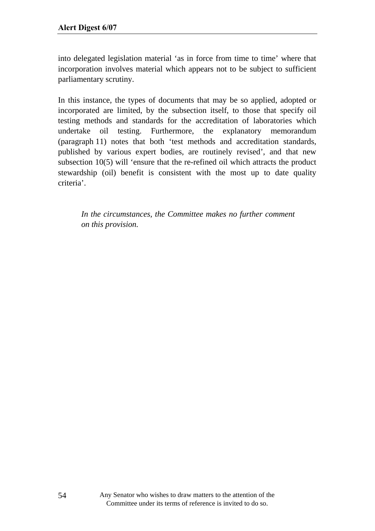into delegated legislation material 'as in force from time to time' where that incorporation involves material which appears not to be subject to sufficient parliamentary scrutiny.

In this instance, the types of documents that may be so applied, adopted or incorporated are limited, by the subsection itself, to those that specify oil testing methods and standards for the accreditation of laboratories which undertake oil testing. Furthermore, the explanatory memorandum (paragraph 11) notes that both 'test methods and accreditation standards, published by various expert bodies, are routinely revised', and that new subsection 10(5) will 'ensure that the re-refined oil which attracts the product stewardship (oil) benefit is consistent with the most up to date quality criteria'.

*In the circumstances, the Committee makes no further comment on this provision.*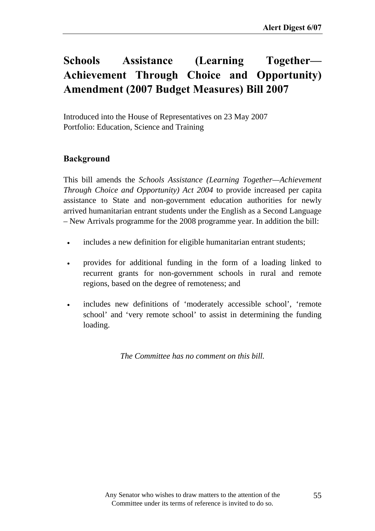# Schools Assistance (Learning Together– **Achievement Through Choice and Opportunity) Amendment (2007 Budget Measures) Bill 2007**

Introduced into the House of Representatives on 23 May 2007 Portfolio: Education, Science and Training

### **Background**

This bill amends the *Schools Assistance (Learning Together—Achievement Through Choice and Opportunity) Act 2004* to provide increased per capita assistance to State and non-government education authorities for newly arrived humanitarian entrant students under the English as a Second Language – New Arrivals programme for the 2008 programme year. In addition the bill:

- includes a new definition for eligible humanitarian entrant students;
- provides for additional funding in the form of a loading linked to recurrent grants for non-government schools in rural and remote regions, based on the degree of remoteness; and
- includes new definitions of 'moderately accessible school', 'remote school' and 'very remote school' to assist in determining the funding loading.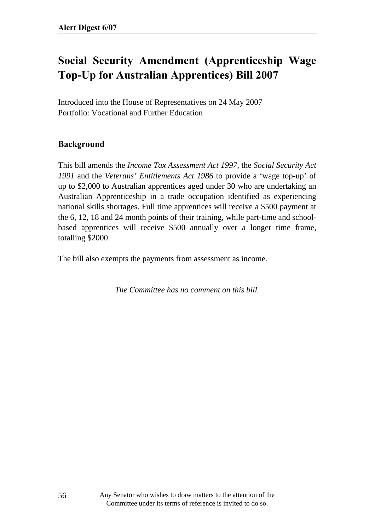# **Social Security Amendment (Apprenticeship Wage Top-Up for Australian Apprentices) Bill 2007**

Introduced into the House of Representatives on 24 May 2007 Portfolio: Vocational and Further Education

### **Background**

This bill amends the *Income Tax Assessment Act 1997*, the *Social Security Act 1991* and the *Veterans' Entitlements Act 1986* to provide a 'wage top-up' of up to \$2,000 to Australian apprentices aged under 30 who are undertaking an Australian Apprenticeship in a trade occupation identified as experiencing national skills shortages. Full time apprentices will receive a \$500 payment at the 6, 12, 18 and 24 month points of their training, while part-time and schoolbased apprentices will receive \$500 annually over a longer time frame, totalling \$2000.

The bill also exempts the payments from assessment as income.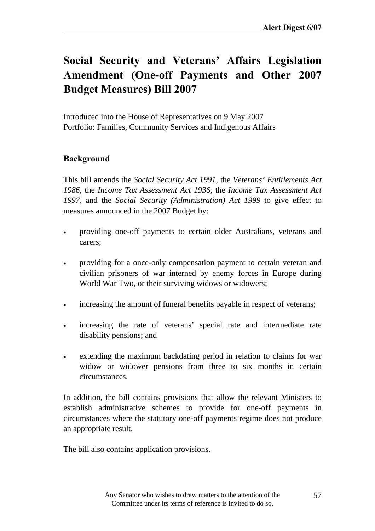# Social Security and Veterans' Affairs Legislation **Amendment (One-off Payments and Other 2007 Budget Measures) Bill 2007**

Introduced into the House of Representatives on 9 May 2007 Portfolio: Families, Community Services and Indigenous Affairs

### **Background**

This bill amends the *Social Security Act 1991*, the *Veterans' Entitlements Act 1986*, the *Income Tax Assessment Act 1936*, the *Income Tax Assessment Act 1997*, and the *Social Security (Administration) Act 1999* to give effect to measures announced in the 2007 Budget by:

- providing one-off payments to certain older Australians, veterans and carers;
- providing for a once-only compensation payment to certain veteran and civilian prisoners of war interned by enemy forces in Europe during World War Two, or their surviving widows or widowers;
- increasing the amount of funeral benefits payable in respect of veterans;
- increasing the rate of veterans' special rate and intermediate rate disability pensions; and
- extending the maximum backdating period in relation to claims for war widow or widower pensions from three to six months in certain circumstances.

In addition, the bill contains provisions that allow the relevant Ministers to establish administrative schemes to provide for one-off payments in circumstances where the statutory one-off payments regime does not produce an appropriate result.

The bill also contains application provisions.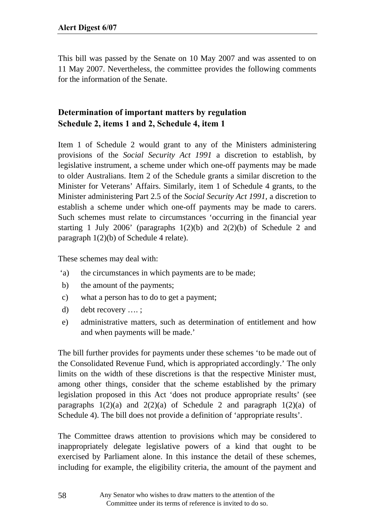This bill was passed by the Senate on 10 May 2007 and was assented to on 11 May 2007. Nevertheless, the committee provides the following comments for the information of the Senate.

## **Determination of important matters by regulation Schedule 2, items 1 and 2, Schedule 4, item 1**

Item 1 of Schedule 2 would grant to any of the Ministers administering provisions of the *Social Security Act 1991* a discretion to establish, by legislative instrument, a scheme under which one-off payments may be made to older Australians. Item 2 of the Schedule grants a similar discretion to the Minister for Veterans' Affairs. Similarly, item 1 of Schedule 4 grants, to the Minister administering Part 2.5 of the *Social Security Act 1991,* a discretion to establish a scheme under which one-off payments may be made to carers. Such schemes must relate to circumstances 'occurring in the financial year starting 1 July 2006' (paragraphs  $1(2)(b)$  and  $2(2)(b)$  of Schedule 2 and paragraph 1(2)(b) of Schedule 4 relate).

These schemes may deal with:

- 'a) the circumstances in which payments are to be made;
- b) the amount of the payments;
- c) what a person has to do to get a payment;
- d) debt recovery …. ;
- e) administrative matters, such as determination of entitlement and how and when payments will be made.'

The bill further provides for payments under these schemes 'to be made out of the Consolidated Revenue Fund, which is appropriated accordingly.' The only limits on the width of these discretions is that the respective Minister must, among other things, consider that the scheme established by the primary legislation proposed in this Act 'does not produce appropriate results' (see paragraphs  $1(2)(a)$  and  $2(2)(a)$  of Schedule 2 and paragraph  $1(2)(a)$  of Schedule 4). The bill does not provide a definition of 'appropriate results'.

The Committee draws attention to provisions which may be considered to inappropriately delegate legislative powers of a kind that ought to be exercised by Parliament alone. In this instance the detail of these schemes, including for example, the eligibility criteria, the amount of the payment and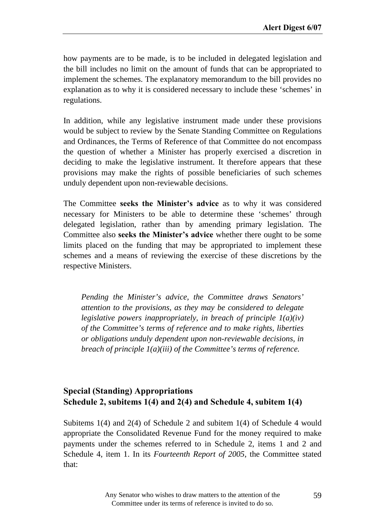how payments are to be made, is to be included in delegated legislation and the bill includes no limit on the amount of funds that can be appropriated to implement the schemes. The explanatory memorandum to the bill provides no explanation as to why it is considered necessary to include these 'schemes' in regulations.

In addition, while any legislative instrument made under these provisions would be subject to review by the Senate Standing Committee on Regulations and Ordinances, the Terms of Reference of that Committee do not encompass the question of whether a Minister has properly exercised a discretion in deciding to make the legislative instrument. It therefore appears that these provisions may make the rights of possible beneficiaries of such schemes unduly dependent upon non-reviewable decisions.

The Committee **seeks the Minister's advice** as to why it was considered necessary for Ministers to be able to determine these 'schemes' through delegated legislation, rather than by amending primary legislation. The Committee also **seeks the Minister's advice** whether there ought to be some limits placed on the funding that may be appropriated to implement these schemes and a means of reviewing the exercise of these discretions by the respective Ministers.

*Pending the Minister's advice, the Committee draws Senators' attention to the provisions, as they may be considered to delegate legislative powers inappropriately, in breach of principle 1(a)(iv) of the Committee's terms of reference and to make rights, liberties or obligations unduly dependent upon non-reviewable decisions, in breach of principle 1(a)(iii) of the Committee's terms of reference.* 

### **Special (Standing) Appropriations Schedule 2, subitems 1(4) and 2(4) and Schedule 4, subitem 1(4)**

Subitems 1(4) and 2(4) of Schedule 2 and subitem 1(4) of Schedule 4 would appropriate the Consolidated Revenue Fund for the money required to make payments under the schemes referred to in Schedule 2, items 1 and 2 and Schedule 4, item 1. In its *Fourteenth Report of 2005*, the Committee stated that: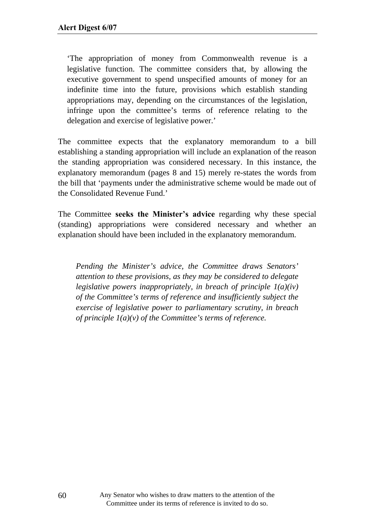'The appropriation of money from Commonwealth revenue is a legislative function. The committee considers that, by allowing the executive government to spend unspecified amounts of money for an indefinite time into the future, provisions which establish standing appropriations may, depending on the circumstances of the legislation, infringe upon the committee's terms of reference relating to the delegation and exercise of legislative power.'

The committee expects that the explanatory memorandum to a bill establishing a standing appropriation will include an explanation of the reason the standing appropriation was considered necessary. In this instance, the explanatory memorandum (pages 8 and 15) merely re-states the words from the bill that 'payments under the administrative scheme would be made out of the Consolidated Revenue Fund.'

The Committee **seeks the Minister's advice** regarding why these special (standing) appropriations were considered necessary and whether an explanation should have been included in the explanatory memorandum.

*Pending the Minister's advice, the Committee draws Senators' attention to these provisions, as they may be considered to delegate legislative powers inappropriately, in breach of principle 1(a)(iv) of the Committee's terms of reference and insufficiently subject the exercise of legislative power to parliamentary scrutiny, in breach of principle 1(a)(v) of the Committee's terms of reference.*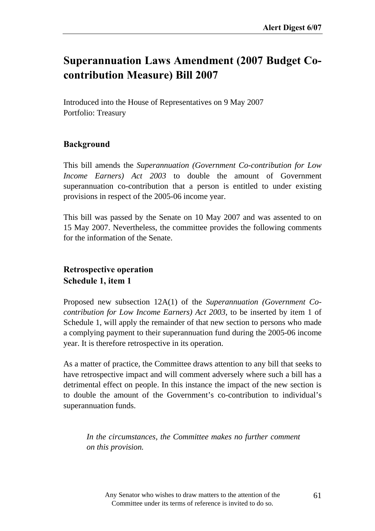# **Superannuation Laws Amendment (2007 Budget Cocontribution Measure) Bill 2007**

Introduced into the House of Representatives on 9 May 2007 Portfolio: Treasury

### **Background**

This bill amends the *Superannuation (Government Co-contribution for Low Income Earners) Act 2003* to double the amount of Government superannuation co-contribution that a person is entitled to under existing provisions in respect of the 2005-06 income year.

This bill was passed by the Senate on 10 May 2007 and was assented to on 15 May 2007. Nevertheless, the committee provides the following comments for the information of the Senate.

### **Retrospective operation Schedule 1, item 1**

Proposed new subsection 12A(1) of the *Superannuation (Government Cocontribution for Low Income Earners) Act 2003*, to be inserted by item 1 of Schedule 1, will apply the remainder of that new section to persons who made a complying payment to their superannuation fund during the 2005-06 income year. It is therefore retrospective in its operation.

As a matter of practice, the Committee draws attention to any bill that seeks to have retrospective impact and will comment adversely where such a bill has a detrimental effect on people. In this instance the impact of the new section is to double the amount of the Government's co-contribution to individual's superannuation funds.

*In the circumstances, the Committee makes no further comment on this provision.*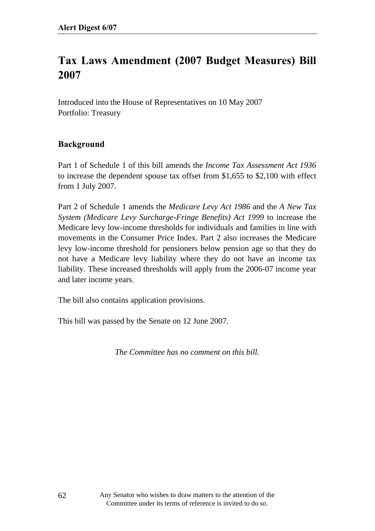# **Tax Laws Amendment (2007 Budget Measures) Bill 2007**

Introduced into the House of Representatives on 10 May 2007 Portfolio: Treasury

### **Background**

Part 1 of Schedule 1 of this bill amends the *Income Tax Assessment Act 1936* to increase the dependent spouse tax offset from \$1,655 to \$2,100 with effect from 1 July 2007.

Part 2 of Schedule 1 amends the *Medicare Levy Act 1986* and the *A New Tax System (Medicare Levy Surcharge-Fringe Benefits) Act 1999* to increase the Medicare levy low-income thresholds for individuals and families in line with movements in the Consumer Price Index. Part 2 also increases the Medicare levy low-income threshold for pensioners below pension age so that they do not have a Medicare levy liability where they do not have an income tax liability. These increased thresholds will apply from the 2006-07 income year and later income years.

The bill also contains application provisions.

This bill was passed by the Senate on 12 June 2007.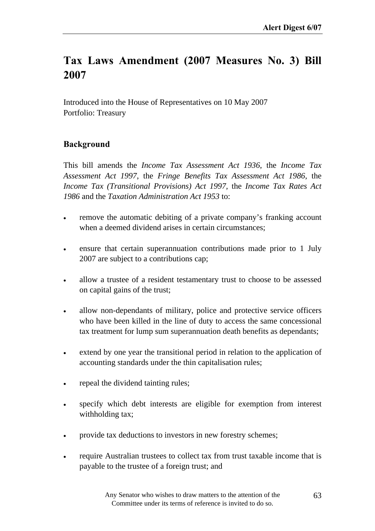# **Tax Laws Amendment (2007 Measures No. 3) Bill 2007**

Introduced into the House of Representatives on 10 May 2007 Portfolio: Treasury

### **Background**

This bill amends the *Income Tax Assessment Act 1936*, the *Income Tax Assessment Act 1997*, the *Fringe Benefits Tax Assessment Act 1986*, the *Income Tax (Transitional Provisions) Act 1997,* the *Income Tax Rates Act 1986* and the *Taxation Administration Act 1953* to:

- remove the automatic debiting of a private company's franking account when a deemed dividend arises in certain circumstances;
- ensure that certain superannuation contributions made prior to 1 July 2007 are subject to a contributions cap;
- allow a trustee of a resident testamentary trust to choose to be assessed on capital gains of the trust;
- allow non-dependants of military, police and protective service officers who have been killed in the line of duty to access the same concessional tax treatment for lump sum superannuation death benefits as dependants;
- extend by one year the transitional period in relation to the application of accounting standards under the thin capitalisation rules;
- repeal the dividend tainting rules;
- specify which debt interests are eligible for exemption from interest withholding tax;
- provide tax deductions to investors in new forestry schemes;
- require Australian trustees to collect tax from trust taxable income that is payable to the trustee of a foreign trust; and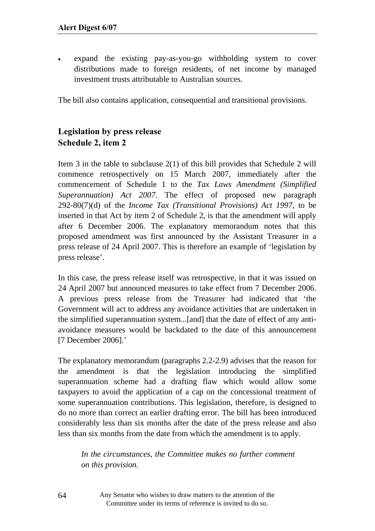expand the existing pay-as-you-go withholding system to cover distributions made to foreign residents, of net income by managed investment trusts attributable to Australian sources.

The bill also contains application, consequential and transitional provisions.

## **Legislation by press release Schedule 2, item 2**

Item 3 in the table to subclause 2(1) of this bill provides that Schedule 2 will commence retrospectively on 15 March 2007, immediately after the commencement of Schedule 1 to the *Tax Laws Amendment (Simplified Superannuation) Act 2007*. The effect of proposed new paragraph 292-80(7)(d) of the *Income Tax (Transitional Provisions) Act 1997*, to be inserted in that Act by item 2 of Schedule 2, is that the amendment will apply after 6 December 2006. The explanatory memorandum notes that this proposed amendment was first announced by the Assistant Treasurer in a press release of 24 April 2007. This is therefore an example of 'legislation by press release'.

In this case, the press release itself was retrospective, in that it was issued on 24 April 2007 but announced measures to take effect from 7 December 2006. A previous press release from the Treasurer had indicated that 'the Government will act to address any avoidance activities that are undertaken in the simplified superannuation system...[and] that the date of effect of any antiavoidance measures would be backdated to the date of this announcement [7 December 2006].'

The explanatory memorandum (paragraphs 2.2-2.9) advises that the reason for the amendment is that the legislation introducing the simplified superannuation scheme had a drafting flaw which would allow some taxpayers to avoid the application of a cap on the concessional treatment of some superannuation contributions. This legislation, therefore, is designed to do no more than correct an earlier drafting error. The bill has been introduced considerably less than six months after the date of the press release and also less than six months from the date from which the amendment is to apply.

*In the circumstances, the Committee makes no further comment on this provision.* 

Any Senator who wishes to draw matters to the attention of the Committee under its terms of reference is invited to do so.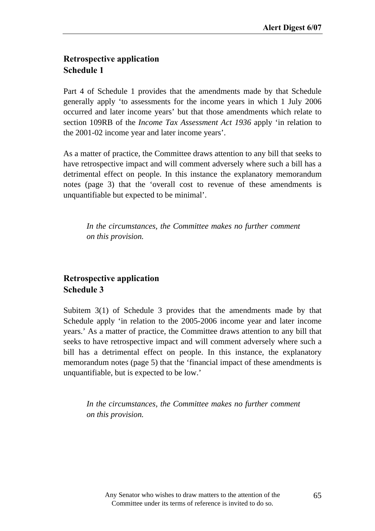## **Retrospective application Schedule 1**

Part 4 of Schedule 1 provides that the amendments made by that Schedule generally apply 'to assessments for the income years in which 1 July 2006 occurred and later income years' but that those amendments which relate to section 109RB of the *Income Tax Assessment Act 1936* apply 'in relation to the 2001-02 income year and later income years'.

As a matter of practice, the Committee draws attention to any bill that seeks to have retrospective impact and will comment adversely where such a bill has a detrimental effect on people. In this instance the explanatory memorandum notes (page 3) that the 'overall cost to revenue of these amendments is unquantifiable but expected to be minimal'.

*In the circumstances, the Committee makes no further comment on this provision.* 

### **Retrospective application Schedule 3**

Subitem 3(1) of Schedule 3 provides that the amendments made by that Schedule apply 'in relation to the 2005-2006 income year and later income years.' As a matter of practice, the Committee draws attention to any bill that seeks to have retrospective impact and will comment adversely where such a bill has a detrimental effect on people. In this instance, the explanatory memorandum notes (page 5) that the 'financial impact of these amendments is unquantifiable, but is expected to be low.'

*In the circumstances, the Committee makes no further comment on this provision.*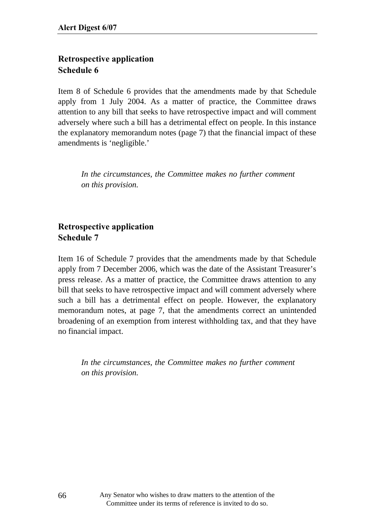## **Retrospective application Schedule 6**

Item 8 of Schedule 6 provides that the amendments made by that Schedule apply from 1 July 2004. As a matter of practice, the Committee draws attention to any bill that seeks to have retrospective impact and will comment adversely where such a bill has a detrimental effect on people. In this instance the explanatory memorandum notes (page 7) that the financial impact of these amendments is 'negligible.'

*In the circumstances, the Committee makes no further comment on this provision.* 

## **Retrospective application Schedule 7**

Item 16 of Schedule 7 provides that the amendments made by that Schedule apply from 7 December 2006, which was the date of the Assistant Treasurer's press release. As a matter of practice, the Committee draws attention to any bill that seeks to have retrospective impact and will comment adversely where such a bill has a detrimental effect on people. However, the explanatory memorandum notes, at page 7, that the amendments correct an unintended broadening of an exemption from interest withholding tax, and that they have no financial impact.

*In the circumstances, the Committee makes no further comment on this provision.*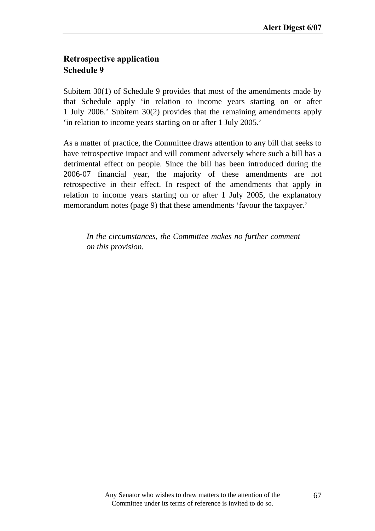### **Retrospective application Schedule 9**

Subitem 30(1) of Schedule 9 provides that most of the amendments made by that Schedule apply 'in relation to income years starting on or after 1 July 2006.' Subitem 30(2) provides that the remaining amendments apply 'in relation to income years starting on or after 1 July 2005.'

As a matter of practice, the Committee draws attention to any bill that seeks to have retrospective impact and will comment adversely where such a bill has a detrimental effect on people. Since the bill has been introduced during the 2006-07 financial year, the majority of these amendments are not retrospective in their effect. In respect of the amendments that apply in relation to income years starting on or after 1 July 2005, the explanatory memorandum notes (page 9) that these amendments 'favour the taxpayer.'

*In the circumstances, the Committee makes no further comment on this provision.*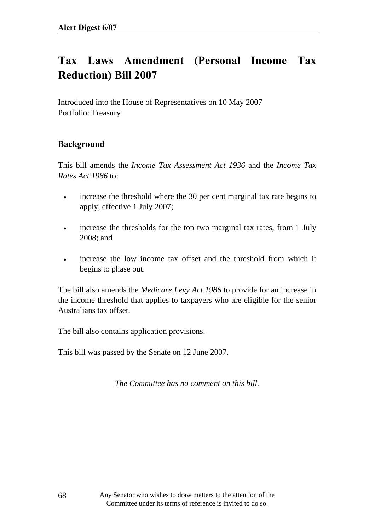# **Tax Laws Amendment (Personal Income Tax Reduction) Bill 2007**

Introduced into the House of Representatives on 10 May 2007 Portfolio: Treasury

### **Background**

This bill amends the *Income Tax Assessment Act 1936* and the *Income Tax Rates Act 1986* to:

- increase the threshold where the 30 per cent marginal tax rate begins to apply, effective 1 July 2007;
- increase the thresholds for the top two marginal tax rates, from 1 July 2008; and
- increase the low income tax offset and the threshold from which it begins to phase out.

The bill also amends the *Medicare Levy Act 1986* to provide for an increase in the income threshold that applies to taxpayers who are eligible for the senior Australians tax offset.

The bill also contains application provisions.

This bill was passed by the Senate on 12 June 2007.

*The Committee has no comment on this bill.*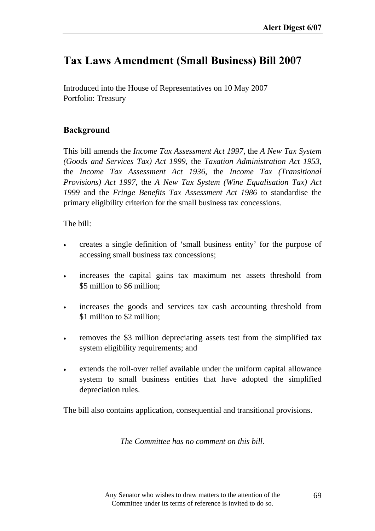# **Tax Laws Amendment (Small Business) Bill 2007**

Introduced into the House of Representatives on 10 May 2007 Portfolio: Treasury

### **Background**

This bill amends the *Income Tax Assessment Act 1997*, the *A New Tax System (Goods and Services Tax) Act 1999*, the *Taxation Administration Act 1953*, the *Income Tax Assessment Act 1936*, the *Income Tax (Transitional Provisions) Act 1997*, the *A New Tax System (Wine Equalisation Tax) Act 1999* and the *Fringe Benefits Tax Assessment Act 1986* to standardise the primary eligibility criterion for the small business tax concessions.

The bill:

- creates a single definition of 'small business entity' for the purpose of accessing small business tax concessions;
- increases the capital gains tax maximum net assets threshold from \$5 million to \$6 million;
- increases the goods and services tax cash accounting threshold from \$1 million to \$2 million;
- removes the \$3 million depreciating assets test from the simplified tax system eligibility requirements; and
- extends the roll-over relief available under the uniform capital allowance system to small business entities that have adopted the simplified depreciation rules.

The bill also contains application, consequential and transitional provisions.

*The Committee has no comment on this bill.*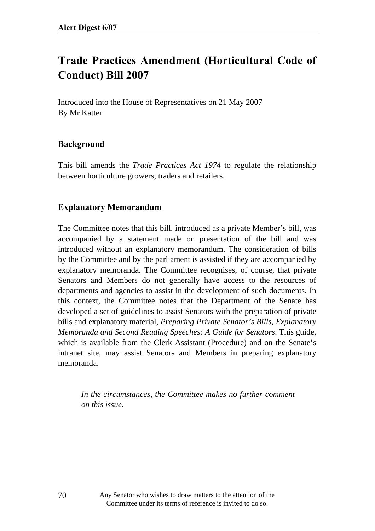# **Trade Practices Amendment (Horticultural Code of Conduct) Bill 2007**

Introduced into the House of Representatives on 21 May 2007 By Mr Katter

#### **Background**

This bill amends the *Trade Practices Act 1974* to regulate the relationship between horticulture growers, traders and retailers.

#### **Explanatory Memorandum**

The Committee notes that this bill, introduced as a private Member's bill, was accompanied by a statement made on presentation of the bill and was introduced without an explanatory memorandum. The consideration of bills by the Committee and by the parliament is assisted if they are accompanied by explanatory memoranda. The Committee recognises, of course, that private Senators and Members do not generally have access to the resources of departments and agencies to assist in the development of such documents. In this context, the Committee notes that the Department of the Senate has developed a set of guidelines to assist Senators with the preparation of private bills and explanatory material, *Preparing Private Senator's Bills, Explanatory Memoranda and Second Reading Speeches: A Guide for Senators*. This guide, which is available from the Clerk Assistant (Procedure) and on the Senate's intranet site, may assist Senators and Members in preparing explanatory memoranda.

*In the circumstances, the Committee makes no further comment on this issue.*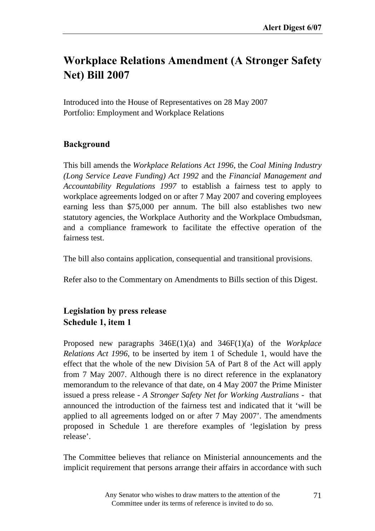# **Workplace Relations Amendment (A Stronger Safety Net) Bill 2007**

Introduced into the House of Representatives on 28 May 2007 Portfolio: Employment and Workplace Relations

### **Background**

This bill amends the *Workplace Relations Act 1996*, the *Coal Mining Industry (Long Service Leave Funding) Act 1992* and the *Financial Management and Accountability Regulations 1997* to establish a fairness test to apply to workplace agreements lodged on or after 7 May 2007 and covering employees earning less than \$75,000 per annum. The bill also establishes two new statutory agencies, the Workplace Authority and the Workplace Ombudsman, and a compliance framework to facilitate the effective operation of the fairness test.

The bill also contains application, consequential and transitional provisions.

Refer also to the Commentary on Amendments to Bills section of this Digest.

### **Legislation by press release Schedule 1, item 1**

Proposed new paragraphs 346E(1)(a) and 346F(1)(a) of the *Workplace Relations Act 1996*, to be inserted by item 1 of Schedule 1, would have the effect that the whole of the new Division 5A of Part 8 of the Act will apply from 7 May 2007. Although there is no direct reference in the explanatory memorandum to the relevance of that date, on 4 May 2007 the Prime Minister issued a press release - *A Stronger Safety Net for Working Australians -* that announced the introduction of the fairness test and indicated that it 'will be applied to all agreements lodged on or after 7 May 2007'. The amendments proposed in Schedule 1 are therefore examples of 'legislation by press release'.

The Committee believes that reliance on Ministerial announcements and the implicit requirement that persons arrange their affairs in accordance with such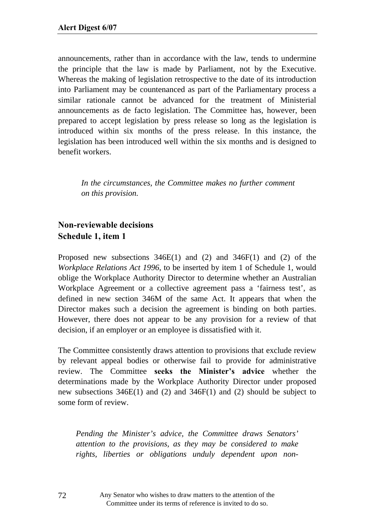announcements, rather than in accordance with the law, tends to undermine the principle that the law is made by Parliament, not by the Executive. Whereas the making of legislation retrospective to the date of its introduction into Parliament may be countenanced as part of the Parliamentary process a similar rationale cannot be advanced for the treatment of Ministerial announcements as de facto legislation. The Committee has, however, been prepared to accept legislation by press release so long as the legislation is introduced within six months of the press release. In this instance, the legislation has been introduced well within the six months and is designed to benefit workers.

*In the circumstances, the Committee makes no further comment on this provision.* 

### **Non-reviewable decisions Schedule 1, item 1**

Proposed new subsections 346E(1) and (2) and 346F(1) and (2) of the *Workplace Relations Act 1996*, to be inserted by item 1 of Schedule 1, would oblige the Workplace Authority Director to determine whether an Australian Workplace Agreement or a collective agreement pass a 'fairness test', as defined in new section 346M of the same Act. It appears that when the Director makes such a decision the agreement is binding on both parties. However, there does not appear to be any provision for a review of that decision, if an employer or an employee is dissatisfied with it.

The Committee consistently draws attention to provisions that exclude review by relevant appeal bodies or otherwise fail to provide for administrative review. The Committee **seeks the Minister's advice** whether the determinations made by the Workplace Authority Director under proposed new subsections 346E(1) and (2) and 346F(1) and (2) should be subject to some form of review.

*Pending the Minister's advice, the Committee draws Senators' attention to the provisions, as they may be considered to make rights, liberties or obligations unduly dependent upon non-*

> Any Senator who wishes to draw matters to the attention of the Committee under its terms of reference is invited to do so.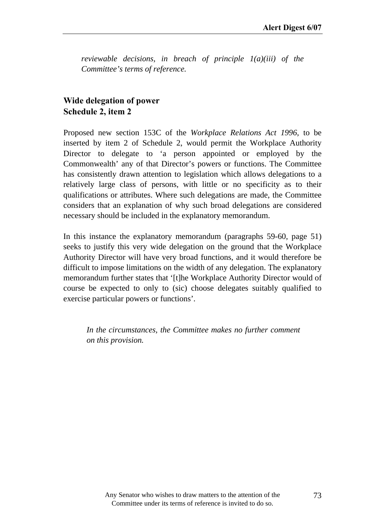*reviewable decisions, in breach of principle 1(a)(iii) of the Committee's terms of reference.* 

#### **Wide delegation of power Schedule 2, item 2**

Proposed new section 153C of the *Workplace Relations Act 1996*, to be inserted by item 2 of Schedule 2, would permit the Workplace Authority Director to delegate to 'a person appointed or employed by the Commonwealth' any of that Director's powers or functions. The Committee has consistently drawn attention to legislation which allows delegations to a relatively large class of persons, with little or no specificity as to their qualifications or attributes. Where such delegations are made, the Committee considers that an explanation of why such broad delegations are considered necessary should be included in the explanatory memorandum.

In this instance the explanatory memorandum (paragraphs 59-60, page 51) seeks to justify this very wide delegation on the ground that the Workplace Authority Director will have very broad functions, and it would therefore be difficult to impose limitations on the width of any delegation. The explanatory memorandum further states that '[t]he Workplace Authority Director would of course be expected to only to (sic) choose delegates suitably qualified to exercise particular powers or functions'.

*In the circumstances, the Committee makes no further comment on this provision.*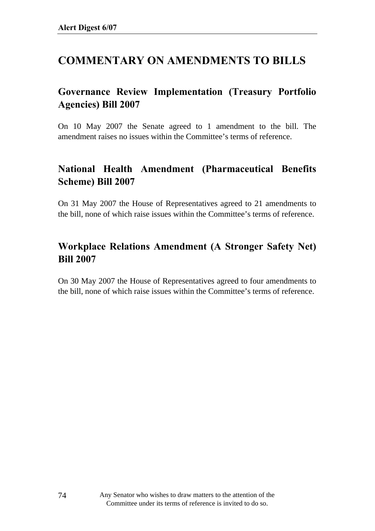# **COMMENTARY ON AMENDMENTS TO BILLS**

# **Governance Review Implementation (Treasury Portfolio Agencies) Bill 2007**

On 10 May 2007 the Senate agreed to 1 amendment to the bill. The amendment raises no issues within the Committee's terms of reference.

# **National Health Amendment (Pharmaceutical Benefits Scheme) Bill 2007**

On 31 May 2007 the House of Representatives agreed to 21 amendments to the bill, none of which raise issues within the Committee's terms of reference.

# **Workplace Relations Amendment (A Stronger Safety Net) Bill 2007**

On 30 May 2007 the House of Representatives agreed to four amendments to the bill, none of which raise issues within the Committee's terms of reference.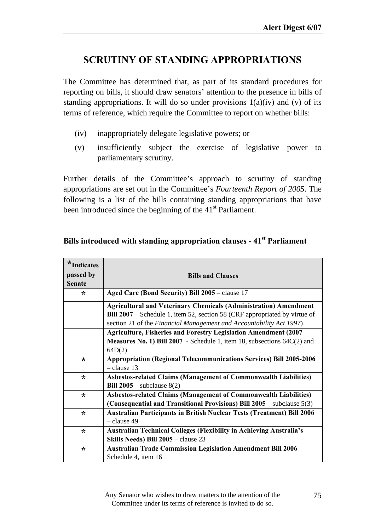# **SCRUTINY OF STANDING APPROPRIATIONS**

The Committee has determined that, as part of its standard procedures for reporting on bills, it should draw senators' attention to the presence in bills of standing appropriations. It will do so under provisions  $1(a)(iv)$  and (v) of its terms of reference, which require the Committee to report on whether bills:

- (iv) inappropriately delegate legislative powers; or
- (v) insufficiently subject the exercise of legislative power to parliamentary scrutiny.

Further details of the Committee's approach to scrutiny of standing appropriations are set out in the Committee's *Fourteenth Report of 2005*. The following is a list of the bills containing standing appropriations that have been introduced since the beginning of the 41<sup>st</sup> Parliament.

| $*$ Indicates |                                                                               |
|---------------|-------------------------------------------------------------------------------|
| passed by     | <b>Bills and Clauses</b>                                                      |
| <b>Senate</b> |                                                                               |
| ∗             | Aged Care (Bond Security) Bill 2005 – clause 17                               |
|               | <b>Agricultural and Veterinary Chemicals (Administration) Amendment</b>       |
|               | Bill 2007 – Schedule 1, item 52, section 58 (CRF appropriated by virtue of    |
|               | section 21 of the Financial Management and Accountability Act 1997)           |
|               | <b>Agriculture, Fisheries and Forestry Legislation Amendment (2007</b>        |
|               | Measures No. 1) Bill 2007 - Schedule 1, item 18, subsections 64C(2) and       |
|               | 64D(2)                                                                        |
| $\star$       | <b>Appropriation (Regional Telecommunications Services) Bill 2005-2006</b>    |
|               | $-$ clause 13                                                                 |
| $\star$       | <b>Asbestos-related Claims (Management of Commonwealth Liabilities)</b>       |
|               | Bill $2005$ – subclause $8(2)$                                                |
| $\star$       | <b>Asbestos-related Claims (Management of Commonwealth Liabilities)</b>       |
|               | (Consequential and Transitional Provisions) Bill $2005$ – subclause $5(3)$    |
| ∗             | <b>Australian Participants in British Nuclear Tests (Treatment) Bill 2006</b> |
|               | - clause 49                                                                   |
| $\star$       | <b>Australian Technical Colleges (Flexibility in Achieving Australia's</b>    |
|               | Skills Needs) Bill 2005 - clause 23                                           |
| ∗             | <b>Australian Trade Commission Legislation Amendment Bill 2006 -</b>          |
|               | Schedule 4, item 16                                                           |

### **Bills introduced with standing appropriation clauses - 41st Parliament**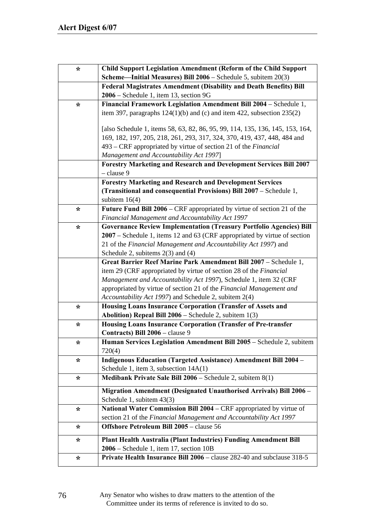| <b>Child Support Legislation Amendment (Reform of the Child Support</b><br><b>Scheme—Initial Measures) Bill 2006</b> – Schedule 5, subitem $20(3)$<br><b>Federal Magistrates Amendment (Disability and Death Benefits) Bill</b> |
|---------------------------------------------------------------------------------------------------------------------------------------------------------------------------------------------------------------------------------|
|                                                                                                                                                                                                                                 |
|                                                                                                                                                                                                                                 |
|                                                                                                                                                                                                                                 |
| Financial Framework Legislation Amendment Bill 2004 - Schedule 1,                                                                                                                                                               |
| item 397, paragraphs $124(1)(b)$ and (c) and item 422, subsection $235(2)$                                                                                                                                                      |
|                                                                                                                                                                                                                                 |
| [also Schedule 1, items 58, 63, 82, 86, 95, 99, 114, 135, 136, 145, 153, 164,                                                                                                                                                   |
| 169, 182, 197, 205, 218, 261, 293, 317, 324, 370, 419, 437, 448, 484 and                                                                                                                                                        |
| 493 – CRF appropriated by virtue of section 21 of the Financial                                                                                                                                                                 |
|                                                                                                                                                                                                                                 |
| <b>Forestry Marketing and Research and Development Services Bill 2007</b>                                                                                                                                                       |
| <b>Forestry Marketing and Research and Development Services</b>                                                                                                                                                                 |
| (Transitional and consequential Provisions) Bill 2007 – Schedule 1,                                                                                                                                                             |
|                                                                                                                                                                                                                                 |
| <b>Future Fund Bill 2006 – CRF</b> appropriated by virtue of section 21 of the                                                                                                                                                  |
|                                                                                                                                                                                                                                 |
| <b>Governance Review Implementation (Treasury Portfolio Agencies) Bill</b>                                                                                                                                                      |
| 2007 – Schedule 1, items 12 and 63 (CRF appropriated by virtue of section                                                                                                                                                       |
| 21 of the Financial Management and Accountability Act 1997) and                                                                                                                                                                 |
|                                                                                                                                                                                                                                 |
| Great Barrier Reef Marine Park Amendment Bill 2007 - Schedule 1,                                                                                                                                                                |
| item 29 (CRF appropriated by virtue of section 28 of the Financial                                                                                                                                                              |
| Management and Accountability Act 1997), Schedule 1, item 32 (CRF                                                                                                                                                               |
| appropriated by virtue of section 21 of the Financial Management and                                                                                                                                                            |
|                                                                                                                                                                                                                                 |
| <b>Housing Loans Insurance Corporation (Transfer of Assets and</b>                                                                                                                                                              |
|                                                                                                                                                                                                                                 |
| <b>Housing Loans Insurance Corporation (Transfer of Pre-transfer</b>                                                                                                                                                            |
| Human Services Legislation Amendment Bill 2005 - Schedule 2, subitem                                                                                                                                                            |
|                                                                                                                                                                                                                                 |
| <b>Indigenous Education (Targeted Assistance) Amendment Bill 2004 -</b>                                                                                                                                                         |
|                                                                                                                                                                                                                                 |
|                                                                                                                                                                                                                                 |
| Migration Amendment (Designated Unauthorised Arrivals) Bill 2006 -                                                                                                                                                              |
|                                                                                                                                                                                                                                 |
| National Water Commission Bill 2004 – CRF appropriated by virtue of                                                                                                                                                             |
| section 21 of the Financial Management and Accountability Act 1997                                                                                                                                                              |
|                                                                                                                                                                                                                                 |
| Plant Health Australia (Plant Industries) Funding Amendment Bill                                                                                                                                                                |
|                                                                                                                                                                                                                                 |
| Private Health Insurance Bill 2006 - clause 282-40 and subclause 318-5                                                                                                                                                          |
|                                                                                                                                                                                                                                 |

Any Senator who wishes to draw matters to the attention of the Committee under its terms of reference is invited to do so.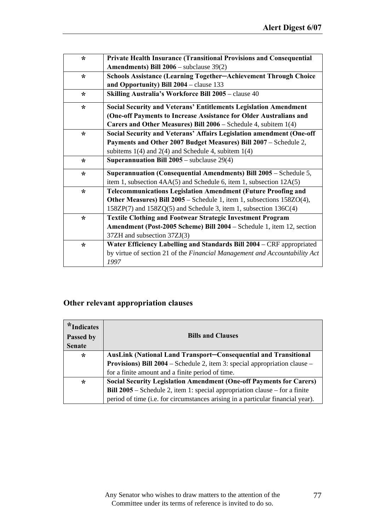| $\star$ | <b>Private Health Insurance (Transitional Provisions and Consequential</b> |
|---------|----------------------------------------------------------------------------|
|         | <b>Amendments) Bill 2006</b> – subclause $39(2)$                           |
| $\star$ | Schools Assistance (Learning Together-Achievement Through Choice           |
|         | and Opportunity) Bill $2004$ – clause 133                                  |
| $\star$ | Skilling Australia's Workforce Bill 2005 - clause 40                       |
| $\star$ | <b>Social Security and Veterans' Entitlements Legislation Amendment</b>    |
|         | (One-off Payments to Increase Assistance for Older Australians and         |
|         | Carers and Other Measures) Bill $2006$ – Schedule 4, subitem $1(4)$        |
| $\star$ | Social Security and Veterans' Affairs Legislation amendment (One-off       |
|         | Payments and Other 2007 Budget Measures) Bill 2007 - Schedule 2,           |
|         | subitems $1(4)$ and $2(4)$ and Schedule 4, subitem $1(4)$                  |
| $\star$ | <b>Superannuation Bill 2005</b> – subclause $29(4)$                        |
| $\star$ | Superannuation (Consequential Amendments) Bill 2005 - Schedule 5,          |
|         | item 1, subsection 4AA(5) and Schedule 6, item 1, subsection 12A(5)        |
| $\ast$  | <b>Telecommunications Legislation Amendment (Future Proofing and</b>       |
|         | Other Measures) Bill 2005 - Schedule 1, item 1, subsections 158ZO(4),      |
|         | $158ZP(7)$ and $158ZQ(5)$ and Schedule 3, item 1, subsection $136C(4)$     |
| $\star$ | <b>Textile Clothing and Footwear Strategic Investment Program</b>          |
|         | Amendment (Post-2005 Scheme) Bill 2004 - Schedule 1, item 12, section      |
|         | 37ZH and subsection 37ZJ(3)                                                |
| $\star$ | Water Efficiency Labelling and Standards Bill 2004 - CRF appropriated      |
|         | by virtue of section 21 of the Financial Management and Accountability Act |
|         | 1997                                                                       |

# **Other relevant appropriation clauses**

| $*$ Indicates<br>Passed by<br><b>Senate</b> | <b>Bills and Clauses</b>                                                           |
|---------------------------------------------|------------------------------------------------------------------------------------|
| $\star$                                     | <b>AusLink (National Land Transport–Consequential and Transitional</b>             |
|                                             | <b>Provisions) Bill 2004</b> – Schedule 2, item 3: special appropriation clause –  |
|                                             | for a finite amount and a finite period of time.                                   |
| $\star$                                     | <b>Social Security Legislation Amendment (One-off Payments for Carers)</b>         |
|                                             | <b>Bill 2005</b> – Schedule 2, item 1: special appropriation clause – for a finite |
|                                             | period of time (i.e. for circumstances arising in a particular financial year).    |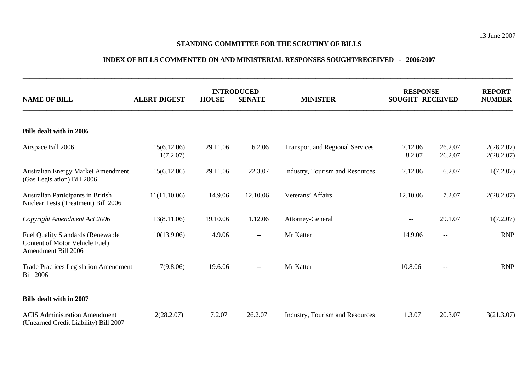#### **STANDING COMMITTEE FOR THE SCRUTINY OF BILLS**

#### **INDEX OF BILLS COMMENTED ON AND MINISTERIAL RESPONSES SOUGHT/RECEIVED - 2006/2007**

**\_\_\_\_\_\_\_\_\_\_\_\_\_\_\_\_\_\_\_\_\_\_\_\_\_\_\_\_\_\_\_\_\_\_\_\_\_\_\_\_\_\_\_\_\_\_\_\_\_\_\_\_\_\_\_\_\_\_\_\_\_\_\_\_\_\_\_\_\_\_\_\_\_\_\_\_\_\_\_\_\_\_\_\_\_\_\_\_\_\_\_\_\_\_\_\_\_\_\_\_\_\_\_\_\_\_\_\_\_\_\_\_\_\_\_\_\_\_\_\_\_\_\_\_\_\_\_\_\_\_\_\_\_\_\_\_\_\_\_\_\_\_\_\_** 

| <b>NAME OF BILL</b>                                                                               | <b>ALERT DIGEST</b>      | <b>INTRODUCED</b><br><b>HOUSE</b><br><b>SENATE</b> |          | <b>MINISTER</b>                        | <b>RESPONSE</b><br><b>SOUGHT RECEIVED</b> |                    | <b>REPORT</b><br><b>NUMBER</b> |  |  |  |  |
|---------------------------------------------------------------------------------------------------|--------------------------|----------------------------------------------------|----------|----------------------------------------|-------------------------------------------|--------------------|--------------------------------|--|--|--|--|
| <b>Bills dealt with in 2006</b>                                                                   |                          |                                                    |          |                                        |                                           |                    |                                |  |  |  |  |
| Airspace Bill 2006                                                                                | 15(6.12.06)<br>1(7.2.07) | 29.11.06                                           | 6.2.06   | <b>Transport and Regional Services</b> | 7.12.06<br>8.2.07                         | 26.2.07<br>26.2.07 | 2(28.2.07)<br>2(28.2.07)       |  |  |  |  |
| Australian Energy Market Amendment<br>(Gas Legislation) Bill 2006                                 | 15(6.12.06)              | 29.11.06                                           | 22.3.07  | Industry, Tourism and Resources        | 7.12.06                                   | 6.2.07             | 1(7.2.07)                      |  |  |  |  |
| Australian Participants in British<br>Nuclear Tests (Treatment) Bill 2006                         | 11(11.10.06)             | 14.9.06                                            | 12.10.06 | Veterans' Affairs                      | 12.10.06                                  | 7.2.07             | 2(28.2.07)                     |  |  |  |  |
| Copyright Amendment Act 2006                                                                      | 13(8.11.06)              | 19.10.06                                           | 1.12.06  | Attorney-General                       | $-\!$ $\!-$                               | 29.1.07            | 1(7.2.07)                      |  |  |  |  |
| <b>Fuel Quality Standards (Renewable</b><br>Content of Motor Vehicle Fuel)<br>Amendment Bill 2006 | 10(13.9.06)              | 4.9.06                                             | $- -$    | Mr Katter                              | 14.9.06                                   | $-\!$              | <b>RNP</b>                     |  |  |  |  |
| <b>Trade Practices Legislation Amendment</b><br><b>Bill 2006</b>                                  | 7(9.8.06)                | 19.6.06                                            | $--$     | Mr Katter                              | 10.8.06                                   | $- -$              | <b>RNP</b>                     |  |  |  |  |
| <b>Bills dealt with in 2007</b>                                                                   |                          |                                                    |          |                                        |                                           |                    |                                |  |  |  |  |
| <b>ACIS Administration Amendment</b><br>(Unearned Credit Liability) Bill 2007                     | 2(28.2.07)               | 7.2.07                                             | 26.2.07  | Industry, Tourism and Resources        | 1.3.07                                    | 20.3.07            | 3(21.3.07)                     |  |  |  |  |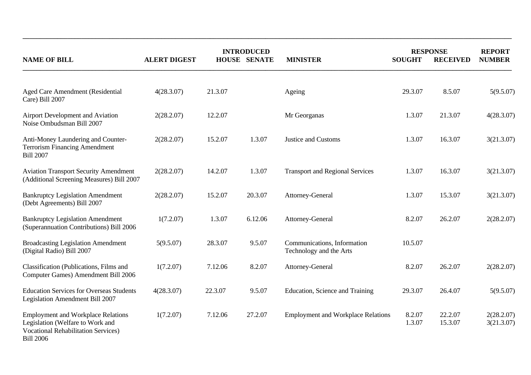|                                                                                                                                                 |                     | <b>INTRODUCED</b> |                     |                                                        | <b>RESPONSE</b>  |                    | <b>REPORT</b>            |
|-------------------------------------------------------------------------------------------------------------------------------------------------|---------------------|-------------------|---------------------|--------------------------------------------------------|------------------|--------------------|--------------------------|
| <b>NAME OF BILL</b>                                                                                                                             | <b>ALERT DIGEST</b> |                   | <b>HOUSE SENATE</b> | <b>MINISTER</b>                                        | <b>SOUGHT</b>    | <b>RECEIVED</b>    | <b>NUMBER</b>            |
| Aged Care Amendment (Residential<br>Care) Bill 2007                                                                                             | 4(28.3.07)          | 21.3.07           |                     | Ageing                                                 | 29.3.07          | 8.5.07             | 5(9.5.07)                |
| Airport Development and Aviation<br>Noise Ombudsman Bill 2007                                                                                   | 2(28.2.07)          | 12.2.07           |                     | Mr Georganas                                           | 1.3.07           | 21.3.07            | 4(28.3.07)               |
| Anti-Money Laundering and Counter-<br><b>Terrorism Financing Amendment</b><br><b>Bill 2007</b>                                                  | 2(28.2.07)          | 15.2.07           | 1.3.07              | <b>Justice and Customs</b>                             | 1.3.07           | 16.3.07            | 3(21.3.07)               |
| <b>Aviation Transport Security Amendment</b><br>(Additional Screening Measures) Bill 2007                                                       | 2(28.2.07)          | 14.2.07           | 1.3.07              | <b>Transport and Regional Services</b>                 | 1.3.07           | 16.3.07            | 3(21.3.07)               |
| <b>Bankruptcy Legislation Amendment</b><br>(Debt Agreements) Bill 2007                                                                          | 2(28.2.07)          | 15.2.07           | 20.3.07             | Attorney-General                                       | 1.3.07           | 15.3.07            | 3(21.3.07)               |
| <b>Bankruptcy Legislation Amendment</b><br>(Superannuation Contributions) Bill 2006                                                             | 1(7.2.07)           | 1.3.07            | 6.12.06             | Attorney-General                                       | 8.2.07           | 26.2.07            | 2(28.2.07)               |
| <b>Broadcasting Legislation Amendment</b><br>(Digital Radio) Bill 2007                                                                          | 5(9.5.07)           | 28.3.07           | 9.5.07              | Communications, Information<br>Technology and the Arts | 10.5.07          |                    |                          |
| Classification (Publications, Films and<br>Computer Games) Amendment Bill 2006                                                                  | 1(7.2.07)           | 7.12.06           | 8.2.07              | Attorney-General                                       | 8.2.07           | 26.2.07            | 2(28.2.07)               |
| <b>Education Services for Overseas Students</b><br>Legislation Amendment Bill 2007                                                              | 4(28.3.07)          | 22.3.07           | 9.5.07              | Education, Science and Training                        | 29.3.07          | 26.4.07            | 5(9.5.07)                |
| <b>Employment and Workplace Relations</b><br>Legislation (Welfare to Work and<br><b>Vocational Rehabilitation Services)</b><br><b>Bill 2006</b> | 1(7.2.07)           | 7.12.06           | 27.2.07             | <b>Employment and Workplace Relations</b>              | 8.2.07<br>1.3.07 | 22.2.07<br>15.3.07 | 2(28.2.07)<br>3(21.3.07) |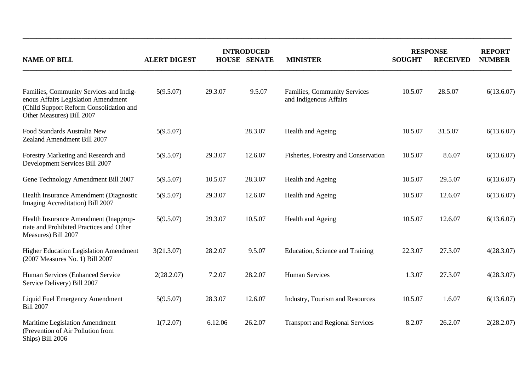|                                                                                                                                                        | <b>INTRODUCED</b>   |                     |         |                                                               | <b>RESPONSE</b> |                 | <b>REPORT</b> |
|--------------------------------------------------------------------------------------------------------------------------------------------------------|---------------------|---------------------|---------|---------------------------------------------------------------|-----------------|-----------------|---------------|
| <b>NAME OF BILL</b>                                                                                                                                    | <b>ALERT DIGEST</b> | <b>HOUSE SENATE</b> |         | <b>MINISTER</b>                                               | <b>SOUGHT</b>   | <b>RECEIVED</b> | <b>NUMBER</b> |
| Families, Community Services and Indig-<br>enous Affairs Legislation Amendment<br>(Child Support Reform Consolidation and<br>Other Measures) Bill 2007 | 5(9.5.07)           | 29.3.07             | 9.5.07  | <b>Families, Community Services</b><br>and Indigenous Affairs | 10.5.07         | 28.5.07         | 6(13.6.07)    |
| Food Standards Australia New<br>Zealand Amendment Bill 2007                                                                                            | 5(9.5.07)           |                     | 28.3.07 | Health and Ageing                                             | 10.5.07         | 31.5.07         | 6(13.6.07)    |
| Forestry Marketing and Research and<br>Development Services Bill 2007                                                                                  | 5(9.5.07)           | 29.3.07             | 12.6.07 | Fisheries, Forestry and Conservation                          | 10.5.07         | 8.6.07          | 6(13.6.07)    |
| Gene Technology Amendment Bill 2007                                                                                                                    | 5(9.5.07)           | 10.5.07             | 28.3.07 | Health and Ageing                                             | 10.5.07         | 29.5.07         | 6(13.6.07)    |
| Health Insurance Amendment (Diagnostic<br>Imaging Accreditation) Bill 2007                                                                             | 5(9.5.07)           | 29.3.07             | 12.6.07 | Health and Ageing                                             | 10.5.07         | 12.6.07         | 6(13.6.07)    |
| Health Insurance Amendment (Inapprop-<br>riate and Prohibited Practices and Other<br>Measures) Bill 2007                                               | 5(9.5.07)           | 29.3.07             | 10.5.07 | Health and Ageing                                             | 10.5.07         | 12.6.07         | 6(13.6.07)    |
| <b>Higher Education Legislation Amendment</b><br>(2007 Measures No. 1) Bill 2007                                                                       | 3(21.3.07)          | 28.2.07             | 9.5.07  | Education, Science and Training                               | 22.3.07         | 27.3.07         | 4(28.3.07)    |
| Human Services (Enhanced Service<br>Service Delivery) Bill 2007                                                                                        | 2(28.2.07)          | 7.2.07              | 28.2.07 | <b>Human Services</b>                                         | 1.3.07          | 27.3.07         | 4(28.3.07)    |
| Liquid Fuel Emergency Amendment<br><b>Bill 2007</b>                                                                                                    | 5(9.5.07)           | 28.3.07             | 12.6.07 | Industry, Tourism and Resources                               | 10.5.07         | 1.6.07          | 6(13.6.07)    |
| Maritime Legislation Amendment<br>(Prevention of Air Pollution from<br>Ships) Bill 2006                                                                | 1(7.2.07)           | 6.12.06             | 26.2.07 | <b>Transport and Regional Services</b>                        | 8.2.07          | 26.2.07         | 2(28.2.07)    |